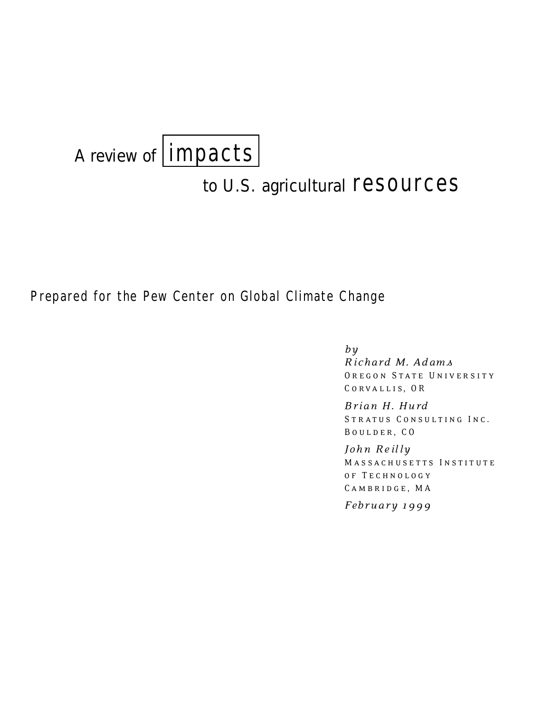

# to U.S. agricultural **resources**

# Prepared for the Pew Center on Global Climate Change

*by*

*Ri chard M. Ad am s* OREGON STATE UNIVERSITY CORVALLIS, OR

 $Brian H. Hurd$ STRATUS CONSULTING INC. BOULDER, CO

*John Re il ly*  MASSACHUSETTS INSTITUTE o f T e c h n o l o g y CAMBRIDGE, MA

*Febru ary 1 99 9*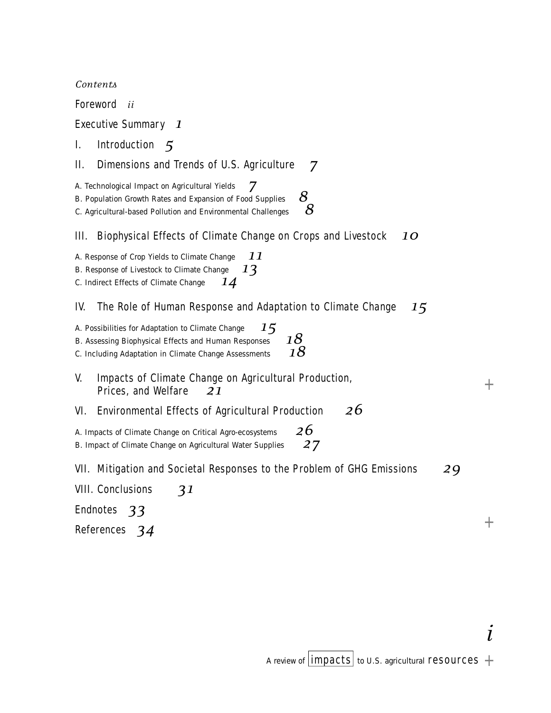*Contents*

Foreword *ii*

# E xecutive Summary *1*

1. Introduction 5

# II. Dimensions and Trends of U.S. Agriculture 7

A. Technological Impact on Agricultural Yields *7*

B. Population Growth Rates and Expansion of Food Supplies *8*

C. Agricultural-based Pollution and Environmental Challenges *8*

# III. Biophysical Effects of Climate Change on Crops and Livestock 10

A. Response of Crop Yields to Climate Change *11*

B. Response of Livestock to Climate Change *13*

C. Indirect Effects of Climate Change *14*

# IV. The Role of Human Response and Adaptation to Climate Change 15

| 15<br>A. Possibilities for Adaptation to Climate Change |    |
|---------------------------------------------------------|----|
| B. Assessing Biophysical Effects and Human Responses    | 18 |
| C. Including Adaptation in Climate Change Assessments   | 18 |

# V. Impacts of Climate Change on Agricultural Production, Prices, and Welfare *21*

# VI. Environmental Effects of Agricultural Production 26

A. Impacts of Climate Change on Critical Agro-ecosystems *26* B. Impact of Climate Change on Agricultural Water Supplies *27*

# VII. Mitigation and Societal Responses to the Problem of GHG Emissions 29

VIII. Conclusions **31** 

Endnotes 33

References 34

 $+$ 

 $^{+}$ 

*i*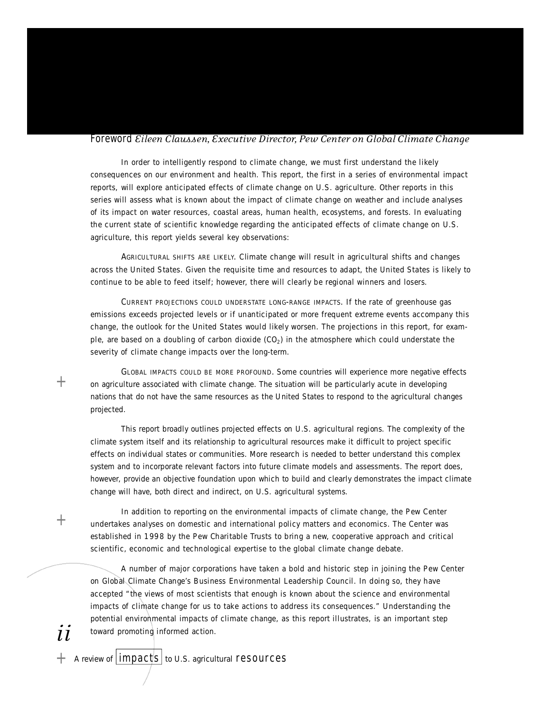#### **Foreword** *Eileen Claussen, Executive Director, Pew Center on Global Climate Change*

In order to intelligently respond to climate change, we must first understand the likely consequences on our environment and health. This report, the first in a series of environmental impact reports, will explore anticipated effects of climate change on U.S. agriculture. Other reports in this series will assess what is known about the impact of climate change on weather and include analyses of its impact on water resources, coastal areas, human health, ecosystems, and forests. In evaluating the current state of scientific knowledge regarding the anticipated effects of climate change on U.S. agriculture, this report yields several key observations:

AGRICULTURAL SHIFTS ARE LIKELY. Climate change will result in agricultural shifts and changes across the United States. Given the requisite time and resources to adapt, the United States is likely to continue to be able to feed itself; however, there will clearly be regional winners and losers.

CURRENT PROJECTIONS COULD UNDERSTATE LONG-RANGE IMPACTS. If the rate of greenhouse gas emissions exceeds projected levels or if unanticipated or more frequent extreme events accompany this change, the outlook for the United States would likely worsen. The projections in this report, for example, are based on a doubling of carbon dioxide (CO $_2)$  in the atmosphere which could understate the severity of climate change impacts over the long-term.

GLOBAL IMPACTS COULD BE MORE PROFOUND. Some countries will experience more negative effects on agriculture associated with climate change. The situation will be particularly acute in developing nations that do not have the same resources as the United States to respond to the agricultural changes projected.

This report broadly outlines projected effects on U.S. agricultural regions. The complexity of the climate system itself and its relationship to agricultural resources make it difficult to project specific effects on individual states or communities. More research is needed to better understand this complex system and to incorporate relevant factors into future climate models and assessments. The report does, however, provide an objective foundation upon which to build and clearly demonstrates the impact climate change will have, both direct and indirect, on U.S. agricultural systems.

In addition to reporting on the environmental impacts of climate change, the Pew Center undertakes analyses on domestic and international policy matters and economics. The Center was established in 1998 by the Pew Charitable Trusts to bring a new, cooperative approach and critical scientific, economic and technological expertise to the global climate change debate.

A number of major corporations have taken a bold and historic step in joining the Pew Center on Global Climate Change's Business Environmental Leadership Council. In doing so, they have accepted "the views of most scientists that enough is known about the science and environmental impacts of climate change for us to take actions to address its consequences." Understanding the potential environmental impacts of climate change, as this report illustrates, is an important step toward promoting informed action.

 $+$  A review of  $|$  impacts  $|$  to U.S. agricultural resources

 $+$ 

 $+$ 

*ii*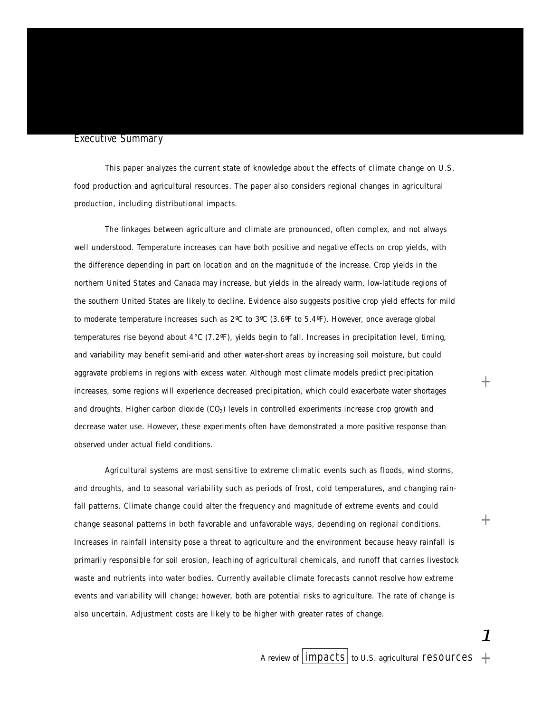#### **Executive Summary**

This paper analyzes the current state of knowledge about the effects of climate change on U.S. food production and agricultural resources. The paper also considers regional changes in agricultural production, including distributional impacts.

The linkages between agriculture and climate are pronounced, often complex, and not always well understood. Temperature increases can have both positive and negative effects on crop yields, with the difference depending in part on location and on the magnitude of the increase. Crop yields in the northern United States and Canada may increase, but yields in the already warm, low-latitude regions of the southern United States are likely to decline. Evidence also suggests positive crop yield effects for mild to moderate temperature increases such as 2ºC to 3ºC (3.6ºF to 5.4ºF). However, once average global temperatures rise beyond about  $4^{\circ}C$  (7.2 $^{\circ}F$ ), yields begin to fall. Increases in precipitation level, timing, and variability may benefit semi-arid and other water-short areas by increasing soil moisture, but could aggravate problems in regions with excess water. Although most climate models predict precipitation increases, some regions will experience decreased precipitation, which could exacerbate water shortages and droughts. Higher carbon dioxide  $(CO<sub>2</sub>)$  levels in controlled experiments increase crop growth and decrease water use. However, these experiments often have demonstrated a more positive response than observed under actual field conditions.

Agricultural systems are most sensitive to extreme climatic events such as floods, wind storms, and droughts, and to seasonal variability such as periods of frost, cold temperatures, and changing rainfall patterns. Climate change could alter the frequency and magnitude of extreme events and could change seasonal patterns in both favorable and unfavorable ways, depending on regional conditions. Increases in rainfall intensity pose a threat to agriculture and the environment because heavy rainfall is primarily responsible for soil erosion, leaching of agricultural chemicals, and runoff that carries livestock waste and nutrients into water bodies. Currently available climate forecasts cannot resolve how extreme events and variability will change; however, both are potential risks to agriculture. The rate of change is also uncertain. Adjustment costs are likely to be higher with greater rates of change.

*1*

 $+$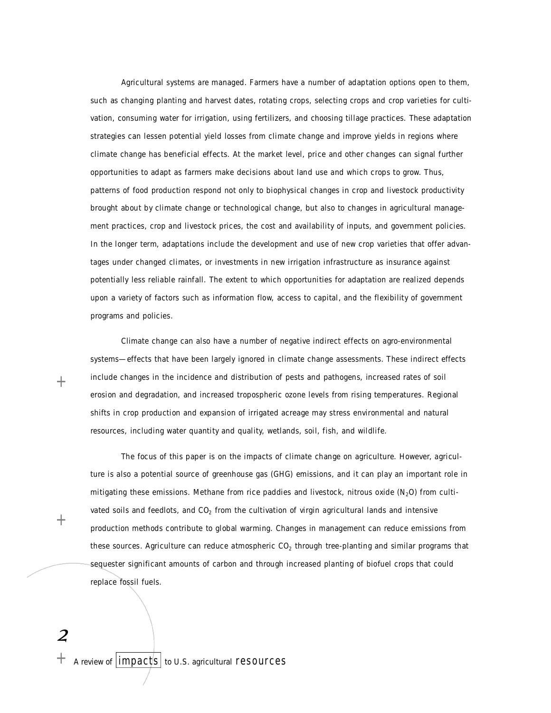Agricultural systems are managed. Farmers have a number of adaptation options open to them, such as changing planting and harvest dates, rotating crops, selecting crops and crop varieties for cultivation, consuming water for irrigation, using fertilizers, and choosing tillage practices. These adaptation strategies can lessen potential yield losses from climate change and improve yields in regions where climate change has beneficial effects. At the market level, price and other changes can signal further opportunities to adapt as farmers make decisions about land use and which crops to grow. Thus, patterns of food production respond not only to biophysical changes in crop and livestock productivity brought about by climate change or technological change, but also to changes in agricultural management practices, crop and livestock prices, the cost and availability of inputs, and government policies. In the longer term, adaptations include the development and use of new crop varieties that offer advantages under changed climates, or investments in new irrigation infrastructure as insurance against potentially less reliable rainfall. The extent to which opportunities for adaptation are realized depends upon a variety of factors such as information flow, access to capital, and the flexibility of government programs and policies.

Climate change can also have a number of negative indirect effects on agro-environmental systems—effects that have been largely ignored in climate change assessments. These indirect effects include changes in the incidence and distribution of pests and pathogens, increased rates of soil erosion and degradation, and increased tropospheric ozone levels from rising temperatures. Regional shifts in crop production and expansion of irrigated acreage may stress environmental and natural resources, including water quantity and quality, wetlands, soil, fish, and wildlife.

The focus of this paper is on the impacts of climate change on agriculture. However, agriculture is also a potential source of greenhouse gas (GHG) emissions, and it can play an important role in mitigating these emissions. Methane from rice paddies and livestock, nitrous oxide  $(N<sub>2</sub>O)$  from cultivated soils and feedlots, and  $CO<sub>2</sub>$  from the cultivation of virgin agricultural lands and intensive production methods contribute to global warming. Changes in management can reduce emissions from these sources. Agriculture can reduce atmospheric  $CO<sub>2</sub>$  through tree-planting and similar programs that sequester significant amounts of carbon and through increased planting of biofuel crops that could replace fossil fuels.

 $+$ 

 $+$ 

*2*

 $+$  A review of  $|$ impacts to U.S. agricultural resources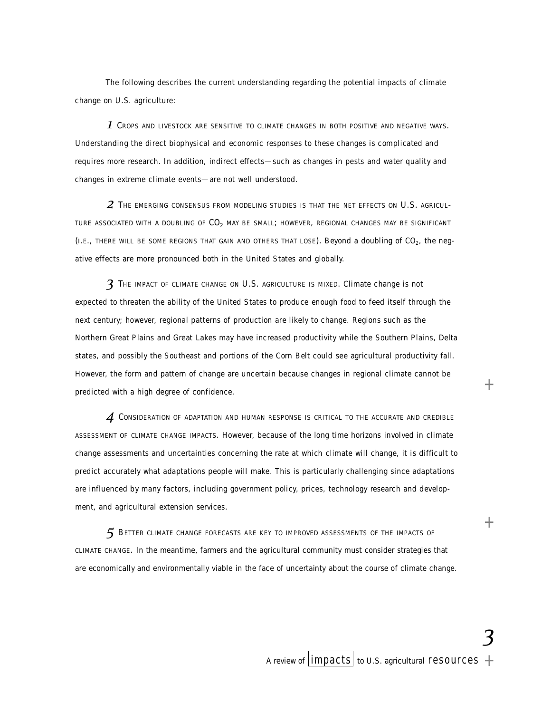The following describes the current understanding regarding the potential impacts of climate change on U.S. agriculture:

 $\boldsymbol{1}$  Crops and livestock are sensitive to climate changes in both positive and negative ways. Understanding the direct biophysical and economic responses to these changes is complicated and requires more research. In addition, indirect effects—such as changes in pests and water quality and changes in extreme climate events—are not well understood.

 $\boldsymbol{2}$  The emerging consensus from modeling studies is that the net effects on U.S. agricul-TURE ASSOCIATED WITH A DOUBLING OF  $CO<sub>2</sub>$  MAY BE SMALL; HOWEVER, REGIONAL CHANGES MAY BE SIGNIFICANT (I.E., THERE WILL BE SOME REGIONS THAT GAIN AND OTHERS THAT LOSE). Beyond a doubling of  $CO<sub>2</sub>$ , the negative effects are more pronounced both in the United States and globally.

**3** THE IMPACT OF CLIMATE CHANGE ON U.S. AGRICULTURE IS MIXED. Climate change is not expected to threaten the ability of the United States to produce enough food to feed itself through the next century; however, regional patterns of production are likely to change. Regions such as the Northern Great Plains and Great Lakes may have increased productivity while the Southern Plains, Delta states, and possibly the Southeast and portions of the Corn Belt could see agricultural productivity fall. However, the form and pattern of change are uncertain because changes in regional climate cannot be predicted with a high degree of confidence.

 $\boldsymbol{A}$  Consideration of adaptation and human response is critical to the accurate and credible ASSESSMENT OF CLIMATE CHANGE IMPACTS. However, because of the long time horizons involved in climate change assessments and uncertainties concerning the rate at which climate will change, it is difficult to predict accurately what adaptations people will make. This is particularly challenging since adaptations are influenced by many factors, including government policy, prices, technology research and development, and agricultural extension services.

 $5$  Better climate change forecasts are key to improved assessments of the impacts of CLIMATE CHANGE. In the meantime, farmers and the agricultural community must consider strategies that are economically and environmentally viable in the face of uncertainty about the course of climate change.

*3*

 $^{+}$ 

 $^{+}$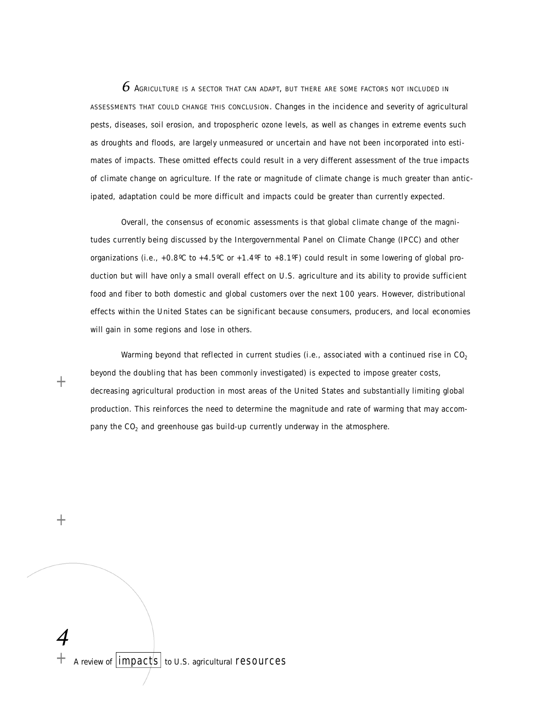$\epsilon$  Agriculture is a sector that can adapt, but there are some factors not included in ASSESSMENTS THAT COULD CHANGE THIS CONCLUSION. Changes in the incidence and severity of agricultural pests, diseases, soil erosion, and tropospheric ozone levels, as well as changes in extreme events such as droughts and floods, are largely unmeasured or uncertain and have not been incorporated into estimates of impacts. These omitted effects could result in a very different assessment of the true impacts of climate change on agriculture. If the rate or magnitude of climate change is much greater than anticipated, adaptation could be more difficult and impacts could be greater than currently expected.

Overall, the consensus of economic assessments is that global climate change of the magnitudes currently being discussed by the Intergovernmental Panel on Climate Change (IPCC) and other organizations (i.e., +0.8°C to +4.5°C or +1.4°F to +8.1°F) could result in some lowering of global production but will have only a small overall effect on U.S. agriculture and its ability to provide sufficient food and fiber to both domestic and global customers over the next 100 years. However, distributional effects within the United States can be significant because consumers, producers, and local economies will gain in some regions and lose in others.

Warming beyond that reflected in current studies (i.e., associated with a continued rise in  $CO<sub>2</sub>$ beyond the doubling that has been commonly investigated) is expected to impose greater costs, decreasing agricultural production in most areas of the United States and substantially limiting global production. This reinforces the need to determine the magnitude and rate of warming that may accompany the  $CO<sub>2</sub>$  and greenhouse gas build-up currently underway in the atmosphere.

 $^{+}$ 

 $^+$ 

*4* A review of  $\vert \text{impacts} \vert$  to U.S. agricultural resources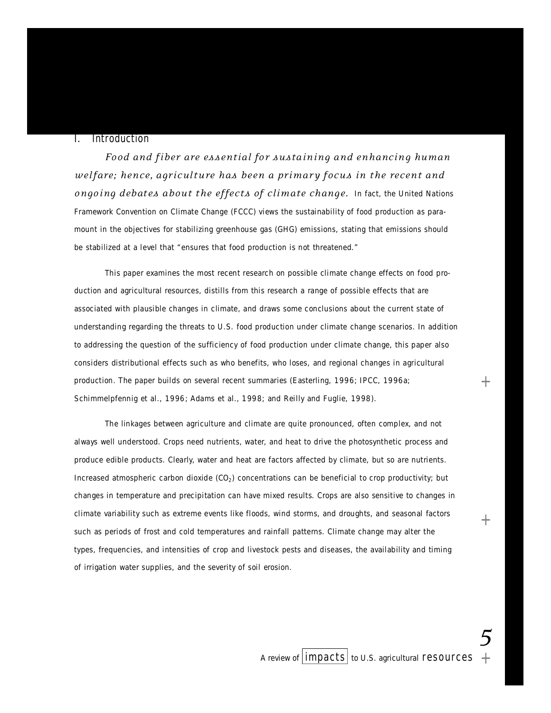# **I.** Introduction

*Food and fib er are es sent i al for sustaining and enhancing hum an welfare; hence, agriculture has been a primary focus in the recent and* ongoing debates about the effects of climate change. In fact, the United Nations Framework Convention on Climate Change (FCCC) views the sustainability of food production as paramount in the objectives for stabilizing greenhouse gas (GHG) emissions, stating that emissions should be stabilized at a level that "ensures that food production is not threatened."

This paper examines the most recent research on possible climate change effects on food production and agricultural resources, distills from this research a range of possible effects that are associated with plausible changes in climate, and draws some conclusions about the current state of understanding regarding the threats to U.S. food production under climate change scenarios. In addition to addressing the question of the sufficiency of food production under climate change, this paper also considers distributional effects such as who benefits, who loses, and regional changes in agricultural production. The paper builds on several recent summaries (Easterling, 1996; IPCC, 1996a; Schimmelpfennig et al., 1996; Adams et al., 1998; and Reilly and Fuglie, 1998).

The linkages between agriculture and climate are quite pronounced, often complex, and not always well understood. Crops need nutrients, water, and heat to drive the photosynthetic process and produce edible products. Clearly, water and heat are factors affected by climate, but so are nutrients. Increased atmospheric carbon dioxide (CO<sub>2</sub>) concentrations can be beneficial to crop productivity; but changes in temperature and precipitation can have mixed results. Crops are also sensitive to changes in climate variability such as extreme events like floods, wind storms, and droughts, and seasonal factors such as periods of frost and cold temperatures and rainfall patterns. Climate change may alter the types, frequencies, and intensities of crop and livestock pests and diseases, the availability and timing of irrigation water supplies, and the severity of soil erosion.

*5*

+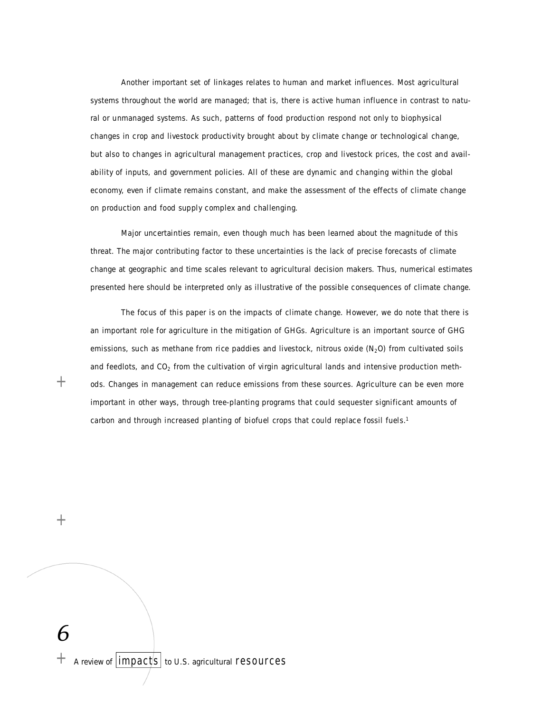Another important set of linkages relates to human and market influences. Most agricultural systems throughout the world are managed; that is, there is active human influence in contrast to natural or unmanaged systems. As such, patterns of food production respond not only to biophysical changes in crop and livestock productivity brought about by climate change or technological change, but also to changes in agricultural management practices, crop and livestock prices, the cost and availability of inputs, and government policies. All of these are dynamic and changing within the global economy, even if climate remains constant, and make the assessment of the effects of climate change on production and food supply complex and challenging.

Major uncertainties remain, even though much has been learned about the magnitude of this threat. The major contributing factor to these uncertainties is the lack of precise forecasts of climate change at geographic and time scales relevant to agricultural decision makers. Thus, numerical estimates presented here should be interpreted only as illustrative of the possible consequences of climate change.

The focus of this paper is on the impacts of climate change. However, we do note that there is an important role for agriculture in the mitigation of GHGs. Agriculture is an important source of GHG emissions, such as methane from rice paddies and livestock, nitrous oxide  $(N<sub>2</sub>O)$  from cultivated soils and feedlots, and  $CO<sub>2</sub>$  from the cultivation of virgin agricultural lands and intensive production methods. Changes in management can reduce emissions from these sources. Agriculture can be even more important in other ways, through tree-planting programs that could sequester significant amounts of carbon and through increased planting of biofuel crops that could replace fossil fuels.<sup>1</sup>

 $+$ 

 $+$ 

*6*  $+$  A review of  $|$ impacts to U.S. agricultural resources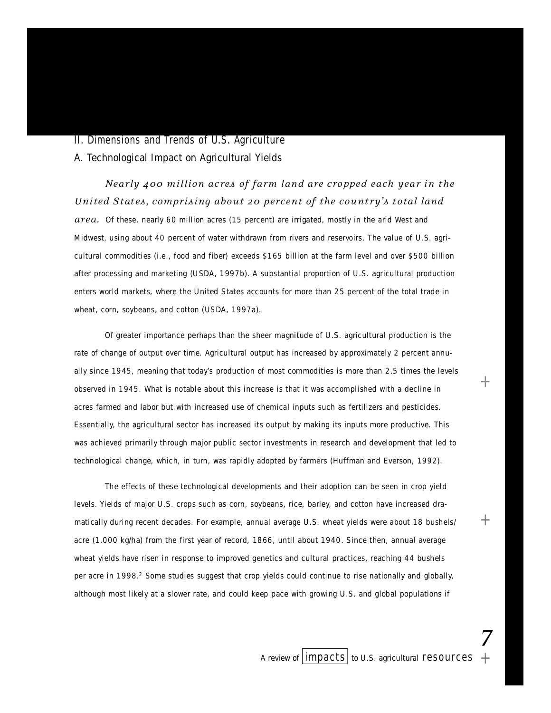# II. Dimensions and Trends of U.S. Agriculture

A. Technological Impact on Agricultural Yields

*Nearly 400 million acres of farm land are cropped each year in the United States, comprising about 20 percent of the country's total land* 

*are a .* Of these, nearly 60 million acres (15 percent) are irrigated, mostly in the arid West and Midwest, using about 40 percent of water withdrawn from rivers and reservoirs. The value of U.S. agricultural commodities (i.e., food and fiber) exceeds \$165 billion at the farm level and over \$500 billion after processing and marketing (USDA, 1997b). A substantial proportion of U.S. agricultural production enters world markets, where the United States accounts for more than 25 percent of the total trade in wheat, corn, soybeans, and cotton (USDA, 1997a).

Of greater importance perhaps than the sheer magnitude of U.S. agricultural production is the rate of change of output over time. Agricultural output has increased by approximately 2 percent annually since 1945, meaning that today's production of most commodities is more than 2.5 times the levels observed in 1945. What is notable about this increase is that it was accomplished with a decline in acres farmed and labor but with increased use of chemical inputs such as fertilizers and pesticides. Essentially, the agricultural sector has increased its output by making its inputs more productive. This was achieved primarily through major public sector investments in research and development that led to technological change, which, in turn, was rapidly adopted by farmers (Huffman and Everson, 1992).

The effects of these technological developments and their adoption can be seen in crop yield levels. Yields of major U.S. crops such as corn, soybeans, rice, barley, and cotton have increased dramatically during recent decades. For example, annual average U.S. wheat yields were about 18 bushels/ acre (1,000 kg/ha) from the first year of record, 1866, until about 1940. Since then, annual average wheat yields have risen in response to improved genetics and cultural practices, reaching 44 bushels per acre in 1998.<sup>2</sup> Some studies suggest that crop yields could continue to rise nationally and globally, although most likely at a slower rate, and could keep pace with growing U.S. and global populations if

*7*

+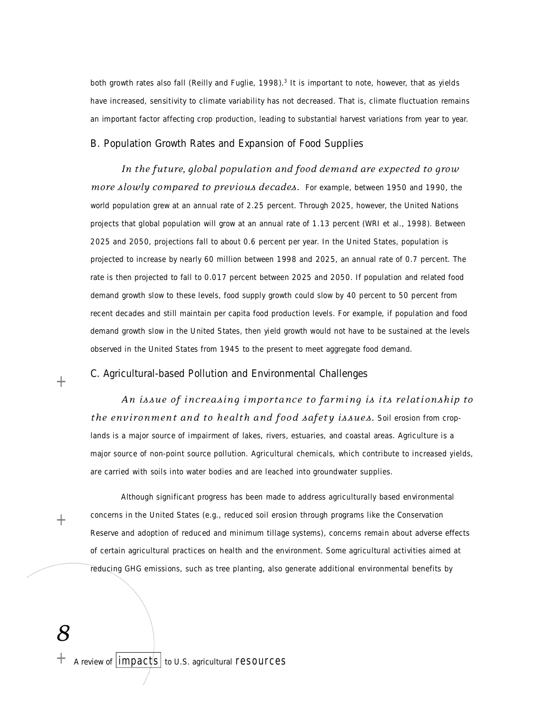both growth rates also fall (Reilly and Fuglie, 1998).<sup>3</sup> It is important to note, however, that as yields have increased, sensitivity to climate variability has not decreased. That is, climate fluctuation remains an important factor affecting crop production, leading to substantial harvest variations from year to year.

# B. Population Growth Rates and Expansion of Food Supplies

In the future, global population and food demand are expected to grow *more slowly compared to previous decades.* For example, between 1950 and 1990, the world population grew at an annual rate of 2.25 percent. Through 2025, however, the United Nations p rojects that global population will grow at an annual rate of 1.13 percent (WRI et al., 1998). Between 2025 and 2050, projections fall to about 0.6 percent per year. In the United States, population is p rojected to increase by nearly 60 million between 1998 and 2025, an annual rate of 0.7 percent. The rate is then projected to fall to 0.017 percent between 2025 and 2050. If population and related food demand growth slow to these levels, food supply growth could slow by 40 percent to 50 percent from recent decades and still maintain per capita food production levels. For example, if population and food demand growth slow in the United States, then yield growth would not have to be sustained at the levels observed in the United States from 1945 to the present to meet aggregate food demand.

# C. Agricultural-based Pollution and Environmental Challenges

 $+$ 

*An is sue of incre asing imp or t ance to farming is its rel at i onship to the environment and to health and food safety issues.* Soil erosion from croplands is a major source of impairment of lakes, rivers, estuaries, and coastal areas. Agriculture is a

major source of non-point source pollution. Agricultural chemicals, which contribute to increased yields, are carried with soils into water bodies and are leached into groundwater supplies.

 $+$ 

Although significant progress has been made to address agriculturally based environmental concerns in the United States (e.g., reduced soil erosion through programs like the Conservation Reserve and adoption of reduced and minimum tillage systems), concerns remain about adverse effects of certain agricultural practices on health and the environment. Some agricultural activities aimed at reducing GHG emissions, such as tree planting, also generate additional environmental benefits by

*8*

 $+$  A review of  $|$  impacts  $|$  to U.S. agricultural resources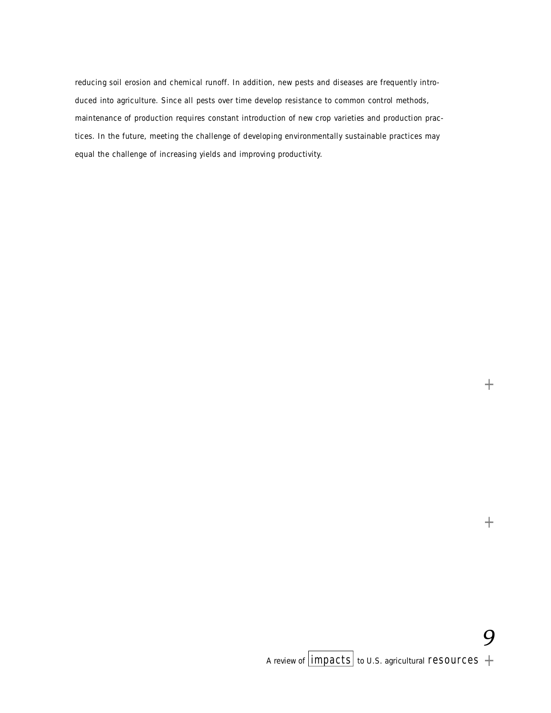reducing soil erosion and chemical runoff. In addition, new pests and diseases are frequently introduced into agriculture. Since all pests over time develop resistance to common control methods, maintenance of production requires constant introduction of new crop varieties and production practices. In the future, meeting the challenge of developing environmentally sustainable practices may equal the challenge of increasing yields and improving productivity.

*9*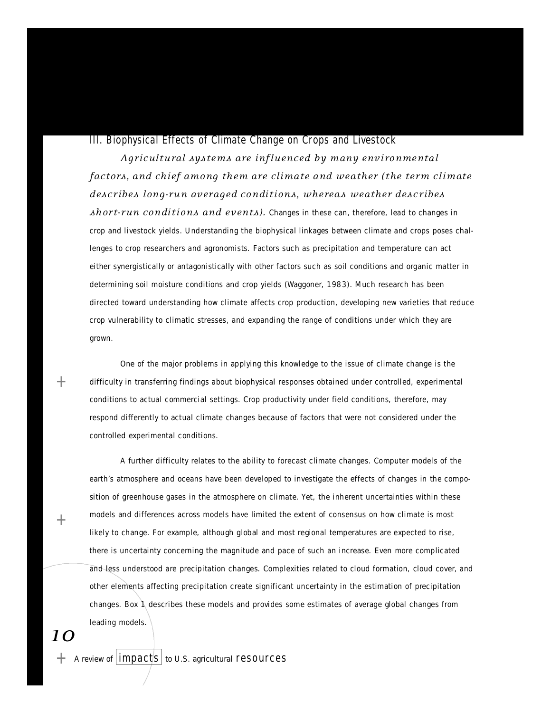## III. Biophysical Effects of Climate Change on Crops and Livestock

Agricultural systems are influenced by many environmental *factors, and chief among them are climate and weather (the term climate d esc r ib es lon g -run averaged con di t i ons , where as we ather desc r ib es Ahort-run conditions and events).* Changes in these can, therefore, lead to changes in crop and livestock yields. Understanding the biophysical linkages between climate and crops poses challenges to crop researchers and agronomists. Factors such as precipitation and temperature can act either synergistically or antagonistically with other factors such as soil conditions and organic matter in determining soil moisture conditions and crop yields (Waggoner, 1983). Much research has been directed toward understanding how climate affects crop production, developing new varieties that reduce crop vulnerability to climatic stresses, and expanding the range of conditions under which they are grown.

One of the major problems in applying this knowledge to the issue of climate change is the difficulty in transferring findings about biophysical responses obtained under controlled, experimental conditions to actual commercial settings. Crop productivity under field conditions, therefore, may respond differently to actual climate changes because of factors that were not considered under the controlled experimental conditions.

A further difficulty relates to the ability to forecast climate changes. Computer models of the earth's atmosphere and oceans have been developed to investigate the effects of changes in the composition of greenhouse gases in the atmosphere on climate. Yet, the inherent uncertainties within these models and differences across models have limited the extent of consensus on how climate is most likely to change. For example, although global and most regional temperatures are expected to rise, there is uncertainty concerning the magnitude and pace of such an increase. Even more complicated and less understood are precipitation changes. Complexities related to cloud formation, cloud cover, and other elements affecting precipitation create significant uncertainty in the estimation of precipitation changes. Box 1 describes these models and provides some estimates of average global changes from leading models.

*10*

 $+$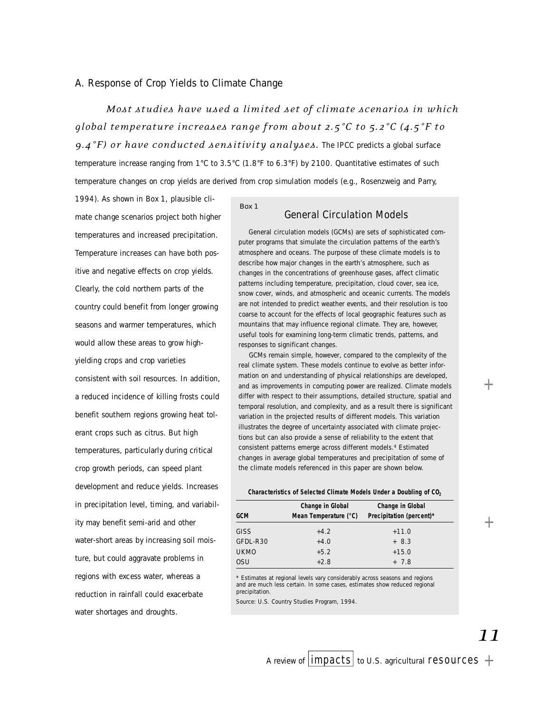# A. Response of Crop Yields to Climate Change

*Most st u di es have used a limited set of cl i m ate sc en ar i os in whi ch gl ob al temp erat ure incre ases range from ab out 2.5°C to 5.2°C (4.5°F to 9.4°F) or have conducted sensitivity analyses.* The IPCC predicts a global surface temperature increase ranging from 1°C to 3.5°C (1.8°F to 6.3°F) by 2100. Quantitative estimates of such temperature changes on crop yields are derived from crop simulation models (e.g., Rosenzweig and Parry,

1994). As shown in Box 1, plausible climate change scenarios project both higher temperatures and increased precipitation. Temperature increases can have both positive and negative effects on crop yields. Clearly, the cold northern parts of the country could benefit from longer growing seasons and warmer temperatures, which would allow these areas to grow highyielding crops and crop varieties consistent with soil resources. In addition, a reduced incidence of killing frosts could benefit southern regions growing heat tolerant crops such as citrus. But high temperatures, particularly during critical crop growth periods, can speed plant development and reduce yields. Increases in precipitation level, timing, and variability may benefit semi-arid and other water-short areas by increasing soil moisture, but could aggravate problems in regions with excess water, whereas a reduction in rainfall could exacerbate water shortages and droughts.

# *Box 1*

#### General Circulation Models

General circulation models (GCMs) are sets of sophisticated computer programs that simulate the circulation patterns of the earth's atmosphere and oceans. The purpose of these climate models is to describe how major changes in the earth's atmosphere, such as changes in the concentrations of greenhouse gases, affect climatic patterns including temperature, precipitation, cloud cover, sea ice, snow cover, winds, and atmospheric and oceanic currents. The models are not intended to predict weather events, and their resolution is too coarse to account for the effects of local geographic features such as mountains that may influence regional climate. They are, however, useful tools for examining long-term climatic trends, patterns, and responses to significant changes.

GCMs remain simple, however, compared to the complexity of the real climate system. These models continue to evolve as better information on and understanding of physical relationships are developed, and as improvements in computing power are realized. Climate models differ with respect to their assumptions, detailed structure, spatial and temporal resolution, and complexity, and as a result there is significant variation in the projected results of different models. This variation illustrates the degree of uncertainty associated with climate projections but can also provide a sense of reliability to the extent that consistent patterns emerge across different models.<sup>4</sup> Estimated changes in average global temperatures and precipitation of some of the climate models referenced in this paper are shown below.

#### **Characteristics of Selected Climate Models Under a Doubling of CO<sup>2</sup>**

| <b>GCM</b>  | Change in Global<br>Mean Temperature (°C) | Change in Global<br>Precipitation (percent)* |
|-------------|-------------------------------------------|----------------------------------------------|
| <b>GISS</b> | $+4.2$                                    | $+11.0$                                      |
| GFDL-R30    | $+4.0$                                    | $+8.3$                                       |
| <b>UKMO</b> | $+5.2$                                    | $+15.0$                                      |
| 0SU         | $+2.8$                                    | $+7.8$                                       |

\* Estimates at regional levels vary considerably across seasons and regions and are much less certain. In some cases, estimates show reduced regional precipitation.

Source: U.S. Country Studies Program, 1994.

 $^{+}$ 

 $^+$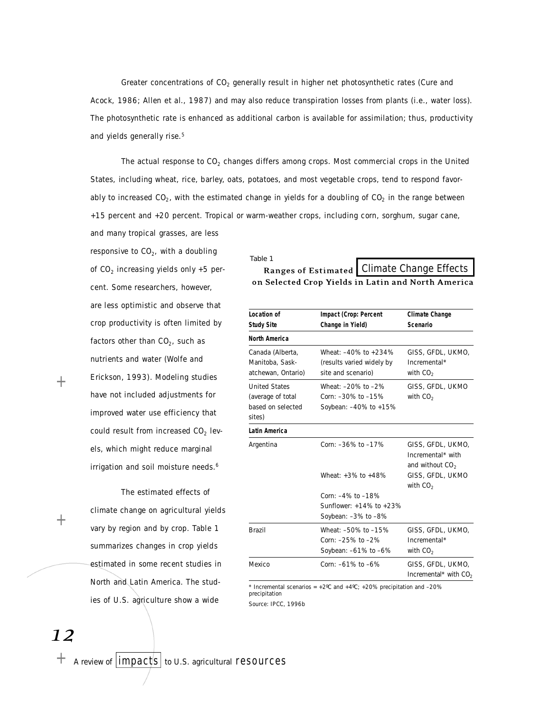Greater concentrations of  $CO<sub>2</sub>$  generally result in higher net photosynthetic rates (Cure and Acock, 1986; Allen et al., 1987) and may also reduce transpiration losses from plants (i.e., water loss). The photosynthetic rate is enhanced as additional carbon is available for assimilation; thus, productivity and yields generally rise.<sup>5</sup>

The actual response to  $CO<sub>2</sub>$  changes differs among crops. Most commercial crops in the United States, including wheat, rice, barley, oats, potatoes, and most vegetable crops, tend to respond favorably to increased CO<sub>2</sub>, with the estimated change in yields for a doubling of CO<sub>2</sub> in the range between +15 percent and +20 percent. Tropical or warm-weather crops, including corn, sorghum, sugar cane, and many tropical grasses, are less

responsive to CO $_2$ , with a doubling of CO $_{\text{2}}$  increasing yields only +5 percent. Some researchers, however, are less optimistic and observe that crop productivity is often limited by factors other than CO $_2$ , such as nutrients and water (Wolfe and Erickson, 1993). Modeling studies have not included adjustments for improved water use efficiency that could result from increased CO $_{\text{2}}$  levels, which might reduce marginal irrigation and soil moisture needs.<sup>6</sup>

The estimated effects of climate change on agricultural yields vary by region and by crop. Table 1 summarizes changes in crop yields estimated in some recent studies in North and Latin America. The studies of U.S. agriculture show a wide

 $+$ 

#### *Table 1*

Ranges of Estimated | Climate Change Effects on Selected Crop Yields in Latin and North America

| Location of<br><b>Study Site</b>                                         | Impact (Crop: Percent<br>Change in Yield)                                 | Climate Change<br>Scenario                                                      |
|--------------------------------------------------------------------------|---------------------------------------------------------------------------|---------------------------------------------------------------------------------|
| North America                                                            |                                                                           |                                                                                 |
| Canada (Alberta,<br>Manitoba, Sask-<br>atchewan, Ontario)                | Wheat: -40% to +234%<br>(results varied widely by<br>site and scenario)   | GISS, GFDL, UKMO,<br>Incremental*<br>with $CO2$                                 |
| <b>United States</b><br>(average of total<br>based on selected<br>sites) | Wheat: -20% to -2%<br>Corn: -30% to -15%<br>Soybean: -40% to +15%         | GISS, GFDL, UKMO<br>with $CO2$                                                  |
| Latin America                                                            |                                                                           |                                                                                 |
| Argentina                                                                | Corn: -36% to -17%<br>Wheat: $+3\%$ to $+48\%$                            | GISS, GFDL, UKMO,<br>Incremental* with<br>and without $CO2$<br>GISS, GFDL, UKMO |
|                                                                          | Corn: $-4\%$ to $-18\%$<br>Sunflower: +14% to +23%<br>Soybean: -3% to -8% | with $CO2$                                                                      |
| <b>Brazil</b>                                                            | Wheat: -50% to -15%<br>Corn: -25% to -2%<br>Soybean: -61% to -6%          | GISS, GFDL, UKMO,<br>Incremental*<br>with $CO2$                                 |
| Mexico                                                                   | Corn: $-61\%$ to $-6\%$                                                   | GISS, GFDL, UKMO,<br>Incremental* with $CO2$                                    |

\* Incremental scenarios =  $+2^{\circ}$ C and  $+4^{\circ}$ C;  $+20^{\circ}$  precipitation and  $-20^{\circ}$ precipitation

Source: IPCC, 1996b

# *12*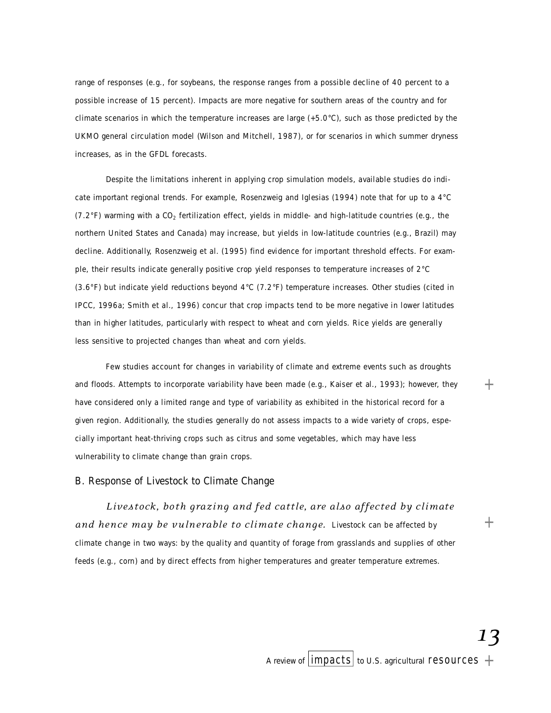range of responses (e.g., for soybeans, the response ranges from a possible decline of 40 percent to a possible increase of 15 percent). Impacts are more negative for southern areas of the country and for climate scenarios in which the temperature increases are large (+5.0°C), such as those predicted by the UKMO general circulation model (Wilson and Mitchell, 1987), or for scenarios in which summer dryness increases, as in the GFDL forecasts.

Despite the limitations inherent in applying crop simulation models, available studies do indicate important regional trends. For example, Rosenzweig and Iglesias (1994) note that for up to a 4°C (7.2°F) warming with a CO $_2$  fertilization effect, yields in middle- and high-latitude countries (e.g., the northern United States and Canada) may increase, but yields in low-latitude countries (e.g., Brazil) may decline. Additionally, Rosenzweig et al. (1995) find evidence for important threshold effects. For example, their results indicate generally positive crop yield responses to temperature increases of 2°C (3.6°F) but indicate yield reductions beyond 4°C (7.2°F) temperature increases. Other studies (cited in IPCC, 1996a; Smith et al., 1996) concur that crop impacts tend to be more negative in lower latitudes than in higher latitudes, particularly with respect to wheat and corn yields. Rice yields are generally less sensitive to projected changes than wheat and corn yields.

Few studies account for changes in variability of climate and extreme events such as droughts and floods. Attempts to incorporate variability have been made (e.g., Kaiser et al., 1993); however, they have considered only a limited range and type of variability as exhibited in the historical record for a given region. Additionally, the studies generally do not assess impacts to a wide variety of crops, especially important heat-thriving crops such as citrus and some vegetables, which may have less vulnerability to climate change than grain crops.

# B. Response of Livestock to Climate Change

Livestock, both grazing and fed cattle, are also affected by climate and hence may be vulnerable to climate change. Livestock can be affected by climate change in two ways: by the quality and quantity of forage from grasslands and supplies of other feeds (e.g., corn) and by direct effects from higher temperatures and greater temperature extremes.

 $^{+}$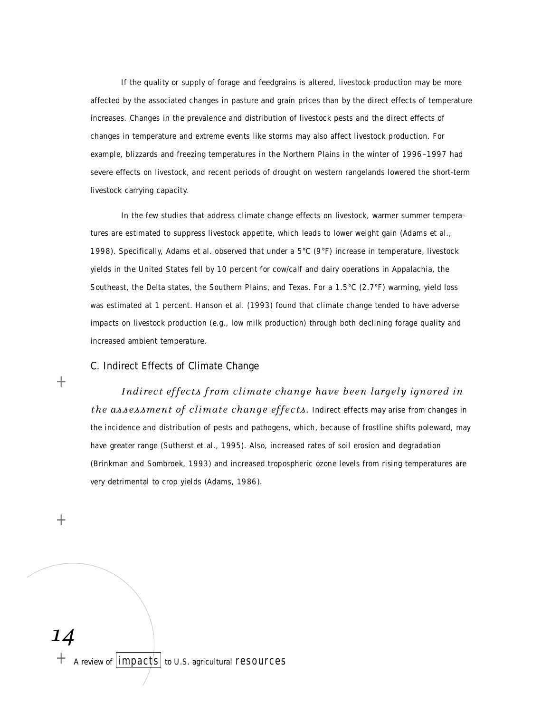If the quality or supply of forage and feedgrains is altered, livestock production may be more affected by the associated changes in pasture and grain prices than by the direct effects of temperature increases. Changes in the prevalence and distribution of livestock pests and the direct effects of changes in temperature and extreme events like storms may also affect livestock production. For example, blizzards and freezing temperatures in the Northern Plains in the winter of 1996–1997 had severe effects on livestock, and recent periods of drought on western rangelands lowered the short-term livestock carrying capacity.

In the few studies that address climate change effects on livestock, warmer summer temperatures are estimated to suppress livestock appetite, which leads to lower weight gain (Adams et al., 1998). Specifically, Adams et al. observed that under a 5°C (9°F) increase in temperature, livestock yields in the United States fell by 10 percent for cow/calf and dairy operations in Appalachia, the Southeast, the Delta states, the Southern Plains, and Texas. For a 1.5°C (2.7°F) warming, yield loss was estimated at 1 percent. Hanson et al. (1993) found that climate change tended to have adverse impacts on livestock production (e.g., low milk production) through both declining forage quality and increased ambient temperature.

# C. Indirect Effects of Climate Change

*Indirect effects from climate change have been largely ignored in the assessment of climate change effects.* Indirect effects may arise from changes in the incidence and distribution of pests and pathogens, which, because of frostline shifts poleward, may have greater range (Sutherst et al., 1995). Also, increased rates of soil erosion and degradation (Brinkman and Sombroek, 1993) and increased tropospheric ozone levels from rising temperatures are very detrimental to crop yields (Adams, 1986).

 $+$ 

 $+$ 

*14*  $+$  A review of  $|$ impacts to U.S. agricultural resources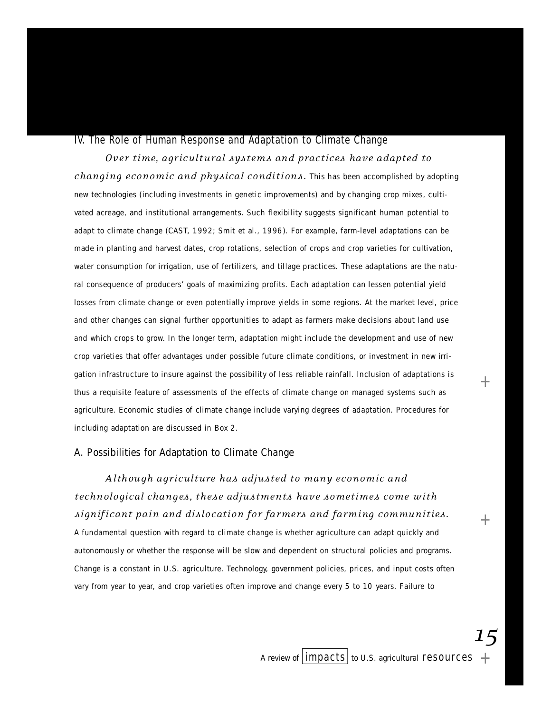#### IV. The Role of Human Response and Adaptation to Climate Change

*Over time, agricultural systems and practices have adapted to changing economic and physical conditions*. This has been accomplished by adopting new technologies (including investments in genetic improvements) and by changing crop mixes, cultivated acreage, and institutional arrangements. Such flexibility suggests significant human potential to adapt to climate change (CAST, 1992; Smit et al., 1996). For example, farm-level adaptations can be made in planting and harvest dates, crop rotations, selection of crops and crop varieties for cultivation, water consumption for irrigation, use of fertilizers, and tillage practices. These adaptations are the natural consequence of producers' goals of maximizing profits. Each adaptation can lessen potential yield losses from climate change or even potentially improve yields in some regions. At the market level, price and other changes can signal further opportunities to adapt as farmers make decisions about land use and which crops to grow. In the longer term, adaptation might include the development and use of new crop varieties that offer advantages under possible future climate conditions, or investment in new irrigation infrastructure to insure against the possibility of less reliable rainfall. Inclusion of adaptations is thus a requisite feature of assessments of the effects of climate change on managed systems such as agriculture. Economic studies of climate change include varying degrees of adaptation. Procedures for including adaptation are discussed in Box 2.

# A. Possibilities for Adaptation to Climate Change

Although agriculture has adjusted to many economic and *t e chn ol o gi c al chan g es , these adjust ments have somet i mes come with si gn if i c ant pain and disl o c at i on for far mers and farming commun i t i es.* A fundamental question with regard to climate change is whether agriculture can adapt quickly and autonomously or whether the response will be slow and dependent on structural policies and programs. Change is a constant in U.S. agriculture. Technology, government policies, prices, and input costs often vary from year to year, and crop varieties often improve and change every 5 to 10 years. Failure to

*15*

+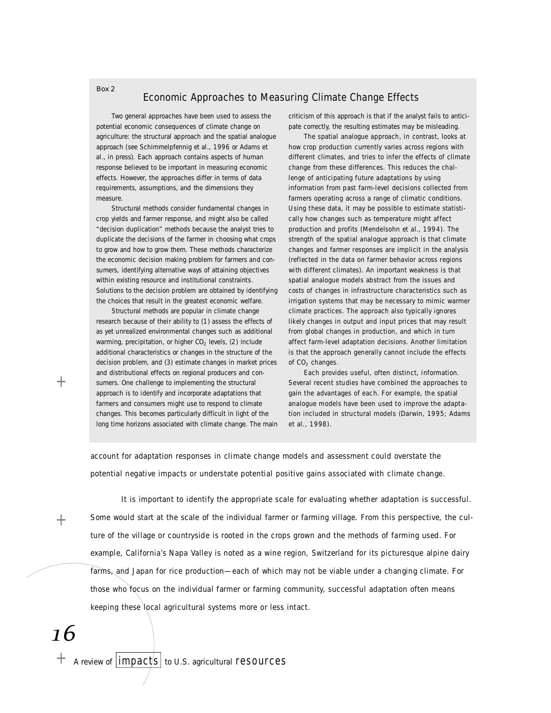#### Economic Approaches to Measuring Climate Change Effects

Two general approaches have been used to assess the potential economic consequences of climate change on agriculture: the structural approach and the spatial analogue approach (see Schimmelpfennig et al., 1996 or Adams et al., in press). Each approach contains aspects of human response believed to be important in measuring economic effects. However, the approaches differ in terms of data requirements, assumptions, and the dimensions they measure.

*Box 2*

Structural methods consider fundamental changes in crop yields and farmer response, and might also be called "decision duplication" methods because the analyst tries to duplicate the decisions of the farmer in choosing what crops to grow and how to grow them. These methods characterize the economic decision making problem for farmers and consumers, identifying alternative ways of attaining objectives within existing resource and institutional constraints. Solutions to the decision problem are obtained by identifying the choices that result in the greatest economic welfare.

Structural methods are popular in climate change research because of their ability to (1) assess the effects of as yet unrealized environmental changes such as additional warming, precipitation, or higher  $CO<sub>2</sub>$  levels, (2) include additional characteristics or changes in the structure of the decision problem, and (3) estimate changes in market prices and distributional effects on regional producers and consumers. One challenge to implementing the structural approach is to identify and incorporate adaptations that farmers and consumers might use to respond to climate changes. This becomes particularly difficult in light of the long time horizons associated with climate change. The main criticism of this approach is that if the analyst fails to anticipate correctly, the resulting estimates may be misleading.

The spatial analogue approach, in contrast, looks at how crop production currently varies across regions with different climates, and tries to infer the effects of climate change from these differences. This reduces the challenge of anticipating future adaptations by using information from past farm-level decisions collected from farmers operating across a range of climatic conditions. Using these data, it may be possible to estimate statistically how changes such as temperature might affect production and profits (Mendelsohn et al., 1994). The strength of the spatial analogue approach is that climate changes and farmer responses are implicit in the analysis (reflected in the data on farmer behavior across regions with different climates). An important weakness is that spatial analogue models abstract from the issues and costs of changes in infrastructure characteristics such as irrigation systems that may be necessary to mimic warmer climate practices. The approach also typically ignores likely changes in output and input prices that may result from global changes in production, and which in turn affect farm-level adaptation decisions. Another limitation is that the approach generally cannot include the effects of  $CO<sub>2</sub>$  changes.

Each provides useful, often distinct, information. Several recent studies have combined the approaches to gain the advantages of each. For example, the spatial analogue models have been used to improve the adaptation included in structural models (Darwin, 1995; Adams et al., 1998).

account for adaptation responses in climate change models and assessment could overstate the potential negative impacts or understate potential positive gains associated with climate change.

 $+$ 

 $^{+}$ 

It is important to identify the appropriate scale for evaluating whether adaptation is successful. Some would start at the scale of the individual farmer or farming village. From this perspective, the culture of the village or countryside is rooted in the crops grown and the methods of farming used. For example, California's Napa Valley is noted as a wine region, Switzerland for its picturesque alpine dairy farms, and Japan for rice production—each of which may not be viable under a changing climate. For those who focus on the individual farmer or farming community, successful adaptation often means keeping these local agricultural systems more or less intact.

*16*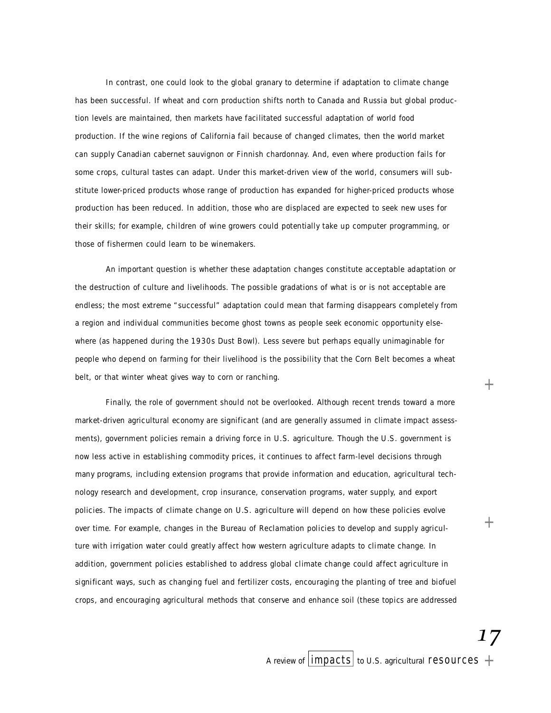In contrast, one could look to the global granary to determine if adaptation to climate change has been successful. If wheat and corn production shifts north to Canada and Russia but global production levels are maintained, then markets have facilitated successful adaptation of world food p roduction. If the wine regions of California fail because of changed climates, then the world market can supply Canadian cabernet sauvignon or Finnish chardonnay. And, even where production fails for some crops, cultural tastes can adapt. Under this market-driven view of the world, consumers will substitute lower-priced products whose range of production has expanded for higher-priced products whose production has been reduced. In addition, those who are displaced are expected to seek new uses for their skills; for example, children of wine growers could potentially take up computer programming, or those of fishermen could learn to be winemakers.

An important question is whether these adaptation changes constitute acceptable adaptation or the destruction of culture and livelihoods. The possible gradations of what is or is not acceptable are endless; the most extreme "successful" adaptation could mean that farming disappears completely from a region and individual communities become ghost towns as people seek economic opportunity elsewhere (as happened during the 1930s Dust Bowl). Less severe but perhaps equally unimaginable for people who depend on farming for their livelihood is the possibility that the Corn Belt becomes a wheat belt, or that winter wheat gives way to corn or ranching.

Finally, the role of government should not be overlooked. Although recent trends toward a more market-driven agricultural economy are significant (and are generally assumed in climate impact assessments), government policies remain a driving force in U.S. agriculture. Though the U.S. government is now less active in establishing commodity prices, it continues to affect farm-level decisions through many programs, including extension programs that provide information and education, agricultural technology research and development, crop insurance, conservation programs, water supply, and export policies. The impacts of climate change on U.S. agriculture will depend on how these policies evolve over time. For example, changes in the Bureau of Reclamation policies to develop and supply agriculture with irrigation water could greatly affect how western agriculture adapts to climate change. In addition, government policies established to address global climate change could affect agriculture in significant ways, such as changing fuel and fertilizer costs, encouraging the planting of tree and biofuel crops, and encouraging agricultural methods that conserve and enhance soil (these topics are addressed

*17*

 $^+$ 

 $^{+}$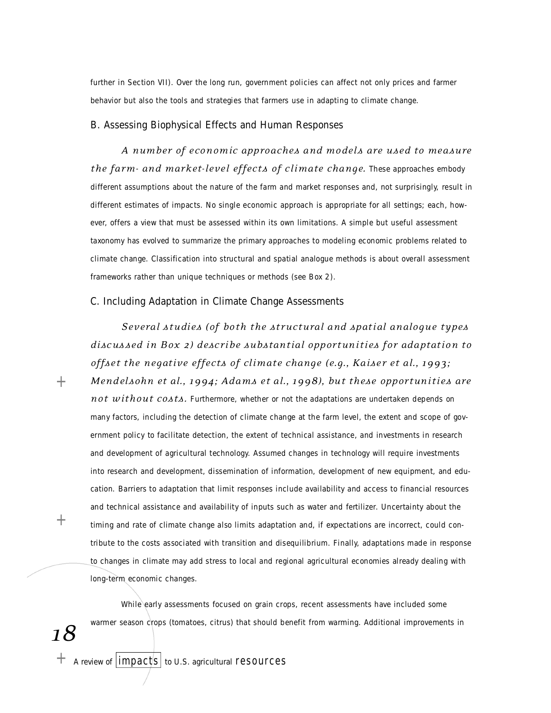further in Section VII). Over the long run, government policies can affect not only prices and farmer behavior but also the tools and strategies that farmers use in adapting to climate change.

### B. Assessing Biophysical Effects and Human Responses

*A numb er of econ omic appro a ches and models are used to me asure the farm- and market-level effects of climate change.* These approaches embody different assumptions about the nature of the farm and market responses and, not surprisingly, result in different estimates of impacts. No single economic approach is appropriate for all settings; each, however, offers a view that must be assessed within its own limitations. A simple but useful assessment taxonomy has evolved to summarize the primary approaches to modeling economic problems related to climate change. Classification into structural and spatial analogue methods is about overall assessment frameworks rather than unique techniques or methods (see Box 2).

#### C. Including Adaptation in Climate Change Assessments

*Several studies (of both the structural and spatial analoque types disc us sed in Box 2) desc r ibe subst ant i al opp or t un i t i es for adapt at i on to offset the ne g at ive effe c ts of cl i m ate change (e.g . , Ka iser et al . , 1 9 9 3 ; Mendelsohn et al., 1994; Adams et al., 1998), but these opportunities are not without costs.* Furthermore, whether or not the adaptations are undertaken depends on many factors, including the detection of climate change at the farm level, the extent and scope of government policy to facilitate detection, the extent of technical assistance, and investments in research and development of agricultural technology. Assumed changes in technology will require investments into research and development, dissemination of information, development of new equipment, and education. Barriers to adaptation that limit responses include availability and access to financial resources and technical assistance and availability of inputs such as water and fertilizer. Uncertainty about the timing and rate of climate change also limits adaptation and, if expectations are incorrect, could contribute to the costs associated with transition and disequilibrium. Finally, adaptations made in response to changes in climate may add stress to local and regional agricultural economies already dealing with long-term economic changes.

While early assessments focused on grain crops, recent assessments have included some warmer season crops (tomatoes, citrus) that should benefit from warming. Additional improvements in

*18*

 $^{+}$ 

 $+$ 

 $+$  A review of  $|{impacts}|$  to U.S. agricultural resources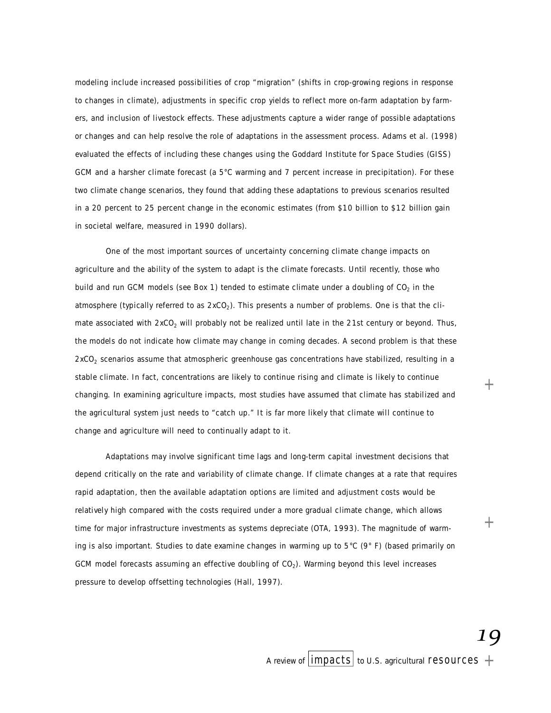modeling include increased possibilities of crop "migration" (shifts in crop-growing regions in response to changes in climate), adjustments in specific crop yields to reflect more on-farm adaptation by farmers, and inclusion of livestock effects. These adjustments capture a wider range of possible adaptations or changes and can help resolve the role of adaptations in the assessment process. Adams et al. (1998) evaluated the effects of including these changes using the Goddard Institute for Space Studies (GISS) GCM and a harsher climate forecast (a 5°C warming and 7 percent increase in precipitation). For these two climate change scenarios, they found that adding these adaptations to previous scenarios resulted in a 20 percent to 25 percent change in the economic estimates (from \$10 billion to \$12 billion gain in societal welfare, measured in 1990 dollars).

One of the most important sources of uncertainty concerning climate change impacts on agriculture and the ability of the system to adapt is the climate forecasts. Until recently, those who build and run GCM models (see Box 1) tended to estimate climate under a doubling of CO $_2$  in the atmosphere (typically referred to as 2xCO<sub>2</sub>). This presents a number of problems. One is that the climate associated with  $2xCO<sub>2</sub>$  will probably not be realized until late in the 21st century or beyond. Thus, the models do not indicate how climate may change in coming decades. A second problem is that these  $2xCO<sub>2</sub>$  scenarios assume that atmospheric greenhouse gas concentrations have stabilized, resulting in a stable climate. In fact, concentrations are likely to continue rising and climate is likely to continue changing. In examining agriculture impacts, most studies have assumed that climate has stabilized and the agricultural system just needs to "catch up." It is far more likely that climate will continue to change and agriculture will need to continually adapt to it.

Adaptations may involve significant time lags and long-term capital investment decisions that depend critically on the rate and variability of climate change. If climate changes at a rate that requires rapid adaptation, then the available adaptation options are limited and adjustment costs would be relatively high compared with the costs required under a more gradual climate change, which allows time for major infrastructure investments as systems depreciate (OTA, 1993). The magnitude of warming is also important. Studies to date examine changes in warming up to  $5^{\circ}C$  (9° F) (based primarily on GCM model forecasts assuming an effective doubling of  $CO<sub>2</sub>$ ). Warming beyond this level increases pressure to develop offsetting technologies (Hall, 1997).

*19*

 $^+$ 

 $^{+}$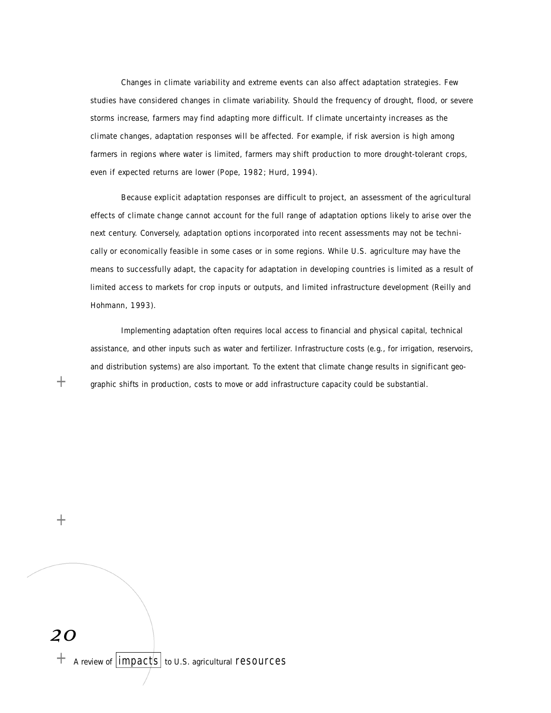Changes in climate variability and extreme events can also affect adaptation strategies. Few studies have considered changes in climate variability. Should the frequency of drought, flood, or severe storms increase, farmers may find adapting more difficult. If climate uncertainty increases as the climate changes, adaptation responses will be affected. For example, if risk aversion is high among farmers in regions where water is limited, farmers may shift production to more drought-tolerant crops, even if expected returns are lower (Pope, 1982; Hurd, 1994).

Because explicit adaptation responses are difficult to project, an assessment of the agricultural effects of climate change cannot account for the full range of adaptation options likely to arise over the next century. Conversely, adaptation options incorporated into recent assessments may not be technically or economically feasible in some cases or in some regions. While U.S. agriculture may have the means to successfully adapt, the capacity for adaptation in developing countries is limited as a result of limited access to markets for crop inputs or outputs, and limited infrastructure development (Reilly and Hohmann, 1993).

Implementing adaptation often requires local access to financial and physical capital, technical assistance, and other inputs such as water and fertilizer. Infrastructure costs (e.g., for irrigation, reservoirs, and distribution systems) are also important. To the extent that climate change results in significant geographic shifts in production, costs to move or add infrastructure capacity could be substantial.

 $^{+}$ 

 $+$ 

*20*

 $+$  A review of  $|{impacts}|$  to U.S. agricultural resources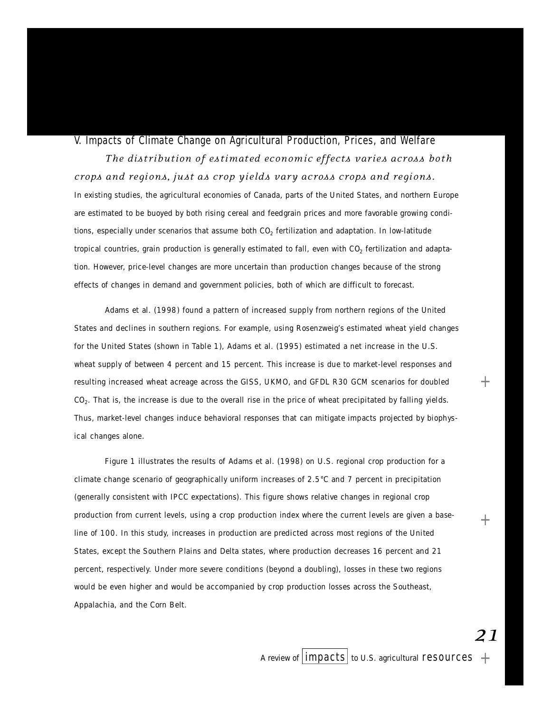# V. Impacts of Climate Change on Agricultural Production, Prices, and Welfare

*T he distr ibut i on of est i m ated econ omic effe c ts var i es across both c rops and re gi ons , j ust as crop yiel ds vary across crops and re gi ons.* In existing studies, the agricultural economies of Canada, parts of the United States, and northern Europe are estimated to be buoyed by both rising cereal and feedgrain prices and more favorable growing conditions, especially under scenarios that assume both CO $_2$  fertilization and adaptation. In low-latitude tropical countries, grain production is generally estimated to fall, even with CO $_2$  fertilization and adaptation. However, price-level changes are more uncertain than production changes because of the strong effects of changes in demand and government policies, both of which are difficult to forecast.

Adams et al. (1998) found a pattern of increased supply from northern regions of the United States and declines in southern regions. For example, using Rosenzweig's estimated wheat yield changes for the United States (shown in Table 1), Adams et al. (1995) estimated a net increase in the U.S. wheat supply of between 4 percent and 15 percent. This increase is due to market-level responses and resulting increased wheat acreage across the GISS, UKMO, and GFDL R30 GCM scenarios for doubled CO<sub>2</sub>. That is, the increase is due to the overall rise in the price of wheat precipitated by falling yields. Thus, market-level changes induce behavioral responses that can mitigate impacts projected by biophysical changes alone.

Figure 1 illustrates the results of Adams et al. (1998) on U.S. regional crop production for a climate change scenario of geographically uniform increases of 2.5°C and 7 percent in precipitation (generally consistent with IPCC expectations). This figure shows relative changes in regional crop production from current levels, using a crop production index where the current levels are given a baseline of 100. In this study, increases in production are predicted across most regions of the United States, except the Southern Plains and Delta states, where production decreases 16 percent and 21 percent, respectively. Under more severe conditions (beyond a doubling), losses in these two regions would be even higher and would be accompanied by crop production losses across the Southeast, Appalachia, and the Corn Belt.

*21*

+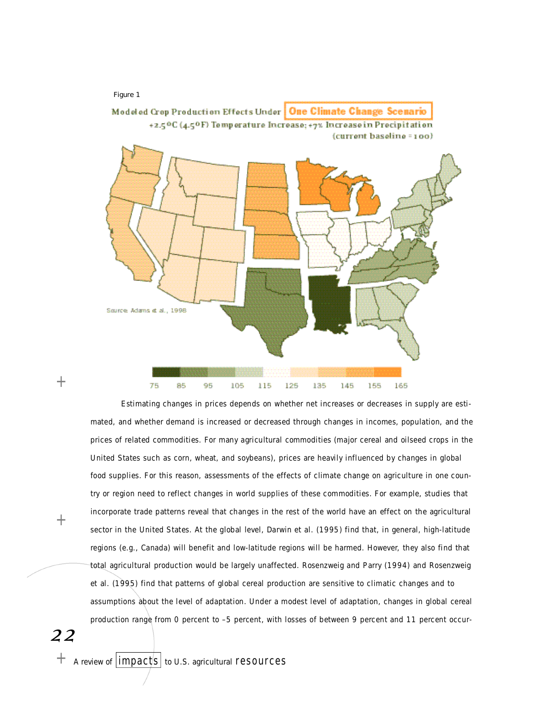

Estimating changes in prices depends on whether net increases or decreases in supply are estimated, and whether demand is increased or decreased through changes in incomes, population, and the prices of related commodities. For many agricultural commodities (major cereal and oilseed crops in the United States such as corn, wheat, and soybeans), prices are heavily influenced by changes in global food supplies. For this reason, assessments of the effects of climate change on agriculture in one country or region need to reflect changes in world supplies of these commodities. For example, studies that incorporate trade patterns reveal that changes in the rest of the world have an effect on the agricultural sector in the United States. At the global level, Darwin et al. (1995) find that, in general, high-latitude regions (e.g., Canada) will benefit and low-latitude regions will be harmed. However, they also find that total agricultural production would be largely unaffected. Rosenzweig and Parry (1994) and Rosenzweig et al. (1995) find that patterns of global cereal production are sensitive to climatic changes and to assumptions about the level of adaptation. Under a modest level of adaptation, changes in global cereal production range from 0 percent to -5 percent, with losses of between 9 percent and 11 percent occur-

*22*

 $^{+}$ 

 $^{+}$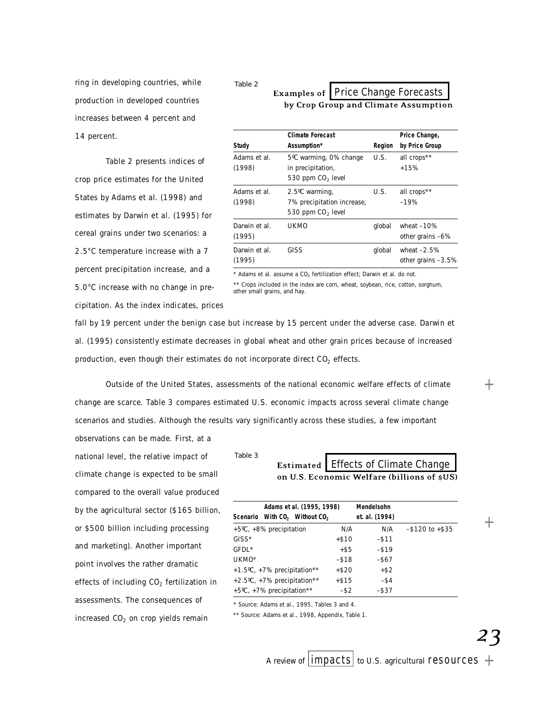ring in developing countries, while production in developed countries increases between 4 percent and 14 percent.

Table 2 presents indices of crop price estimates for the United States by Adams et al. (1998) and estimates by Darwin et al. (1995) for cereal grains under two scenarios: a 2.5°C temperature increase with a 7 percent precipitation increase, and a 5.0°C increase with no change in precipitation. As the index indicates, prices

#### *Table 2* Examples of | Price Change Forecasts by Crop Group and Climate Assumption

|                         | <b>Climate Forecast</b>                                                      |        | Price Change,                       |
|-------------------------|------------------------------------------------------------------------------|--------|-------------------------------------|
| Study                   | Assumption*                                                                  | Region | by Price Group                      |
| Adams et al.<br>(1998)  | 5°C warming, 0% change<br>in precipitation,<br>530 ppm CO <sub>2</sub> level | U.S.   | all crops**<br>$+15%$               |
| Adams et al.<br>(1998)  | 2.5°C warming,<br>7% precipitation increase,<br>530 ppm $CO2$ level          | U.S.   | all crops**<br>$-19%$               |
| Darwin et al.<br>(1995) | <b>UKMO</b>                                                                  | global | wheat $-10%$<br>other grains -6%    |
| Darwin et al.<br>(1995) | GISS                                                                         | global | wheat $-2.5%$<br>other grains -3.5% |

 $*$  Adams et al. assume a  $CO<sub>2</sub>$  fertilization effect; Darwin et al. do not. \*\* Crops included in the index are corn, wheat, soybean, rice, cotton, sorghum, other small grains, and hay.

fall by 19 percent under the benign case but increase by 15 percent under the adverse case. Darwin et al. (1995) consistently estimate decreases in global wheat and other grain prices because of increased production, even though their estimates do not incorporate direct  $CO<sub>2</sub>$  effects.

Outside of the United States, assessments of the national economic welfare effects of climate change are scarce. Table 3 compares estimated U.S. economic impacts across several climate change scenarios and studies. Although the results vary significantly across these studies, a few important observations can be made. First, at a

national level, the relative impact of climate change is expected to be small compared to the overall value produced by the agricultural sector (\$165 billion, or \$500 billion including processing and marketing). Another important point involves the rather dramatic effects of including  $CO<sub>2</sub>$  fertilization in assessments. The consequences of increased  $CO<sub>2</sub>$  on crop yields remain

*Table 3*Estimated | Effects of Climate Change on U.S. Economic Welfare (billions of sUS)

|         | Adams et al. (1995, 1998)                             |          | Mendelsohn     |                  |
|---------|-------------------------------------------------------|----------|----------------|------------------|
|         | Scenario With CO <sub>2</sub> Without CO <sub>2</sub> |          | et. al. (1994) |                  |
|         | +5°C, +8% precipitation                               | N/A      | N/A            | $-$120 to + $35$ |
| $GISS*$ |                                                       | $+ $10$  | $-$ \$11       |                  |
| GFDL*   |                                                       | $+$ \$5  | $-$ \$19       |                  |
| UKMO*   |                                                       | $-$ \$18 | $-$ \$67       |                  |
|         | $+1.5^{\circ}$ C, $+7\%$ precipitation**              | $+ $20$  | $+$ \$2        |                  |
|         | +2.5°C, +7% precipitation**                           | $+ $15$  | $-$ \$4        |                  |
|         | +5°C, +7% precipitation**                             | $-$ \$2  | $-$ \$37       |                  |

\* Source: Adams et al., 1995, Tables 3 and 4.

\*\* Source: Adams et al., 1998, Appendix, Table 1.

*23*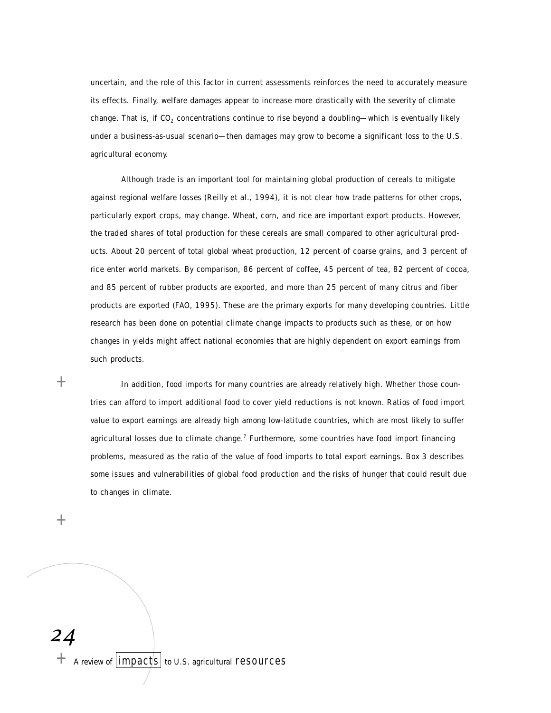uncertain, and the role of this factor in current assessments reinforces the need to accurately measure its effects. Finally, welfare damages appear to increase more drastically with the severity of climate change. That is, if  $CO_2$  concentrations continue to rise beyond a doubling—which is eventually likely under a business-as-usual scenario—then damages may grow to become a significant loss to the U.S. agricultural economy.

Although trade is an important tool for maintaining global production of cereals to mitigate against regional welfare losses (Reilly et al., 1994), it is not clear how trade patterns for other crops, particularly export crops, may change. Wheat, corn, and rice are important export products. However, the traded shares of total production for these cereals are small compared to other agricultural products. About 20 percent of total global wheat production, 12 percent of coarse grains, and 3 percent of rice enter world markets. By comparison, 86 percent of coffee, 45 percent of tea, 82 percent of cocoa, and 85 percent of rubber products are exported, and more than 25 percent of many citrus and fiber p roducts are exported (FAO, 1995). These are the primary exports for many developing countries. Little research has been done on potential climate change impacts to products such as these, or on how changes in yields might affect national economies that are highly dependent on export earnings from such products.

 $+$ 

In addition, food imports for many countries are already relatively high. Whether those countries can afford to import additional food to cover yield reductions is not known. Ratios of food import value to export earnings are already high among low-latitude countries, which are most likely to suffer agricultural losses due to climate change.<sup>7</sup> Furthermore, some countries have food import financing p roblems, measured as the ratio of the value of food imports to total export earnings. Box 3 describes some issues and vulnerabilities of global food production and the risks of hunger that could result due to changes in climate.

 $+$ 

*24*

+ A review of  $\boxed{\text{impacts}}$  to U.S. agricultural resources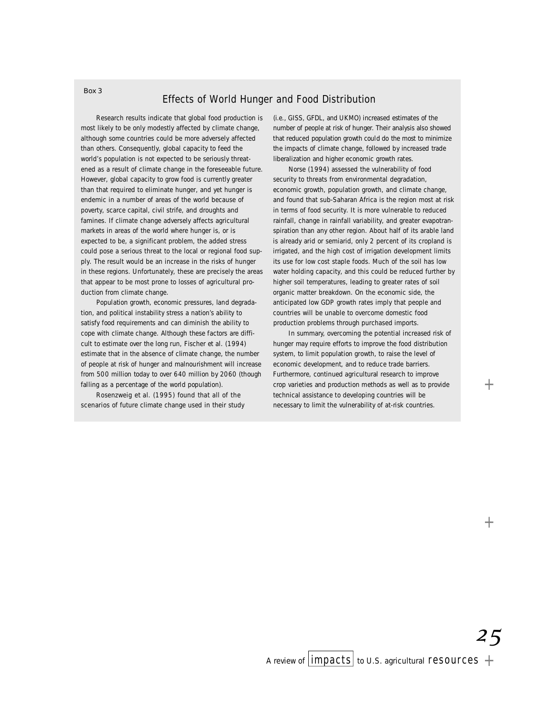# Effects of World Hunger and Food Distribution

Research results indicate that global food production is most likely to be only modestly affected by climate change, although some countries could be more adversely affected than others. Consequently, global capacity to feed the world's population is not expected to be seriously threatened as a result of climate change in the foreseeable future. However, global capacity to grow food is currently greater than that required to eliminate hunger, and yet hunger is endemic in a number of areas of the world because of poverty, scarce capital, civil strife, and droughts and famines. If climate change adversely affects agricultural markets in areas of the world where hunger is, or is expected to be, a significant problem, the added stress could pose a serious threat to the local or regional food supply. The result would be an increase in the risks of hunger in these regions. Unfortunately, these are precisely the areas that appear to be most prone to losses of agricultural production from climate change.

Population growth, economic pressures, land degradation, and political instability stress a nation's ability to satisfy food requirements and can diminish the ability to cope with climate change. Although these factors are difficult to estimate over the long run, Fischer et al. (1994) estimate that in the absence of climate change, the number of people at risk of hunger and malnourishment will increase from 500 million today to over 640 million by 2060 (though falling as a percentage of the world population).

Rosenzweig et al. (1995) found that all of the scenarios of future climate change used in their study (i.e., GISS, GFDL, and UKMO) increased estimates of the number of people at risk of hunger. Their analysis also showed that reduced population growth could do the most to minimize the impacts of climate change, followed by increased trade liberalization and higher economic growth rates.

Norse (1994) assessed the vulnerability of food security to threats from environmental degradation, economic growth, population growth, and climate change, and found that sub-Saharan Africa is the region most at risk in terms of food security. It is more vulnerable to reduced rainfall, change in rainfall variability, and greater evapotranspiration than any other region. About half of its arable land is already arid or semiarid, only 2 percent of its cropland is irrigated, and the high cost of irrigation development limits its use for low cost staple foods. Much of the soil has low water holding capacity, and this could be reduced further by higher soil temperatures, leading to greater rates of soil organic matter breakdown. On the economic side, the anticipated low GDP growth rates imply that people and countries will be unable to overcome domestic food production problems through purchased imports.

In summary, overcoming the potential increased risk of hunger may require efforts to improve the food distribution system, to limit population growth, to raise the level of economic development, and to reduce trade barriers. Furthermore, continued agricultural research to improve crop varieties and production methods as well as to provide technical assistance to developing countries will be necessary to limit the vulnerability of at-risk countries.

*25*

#### *Box 3*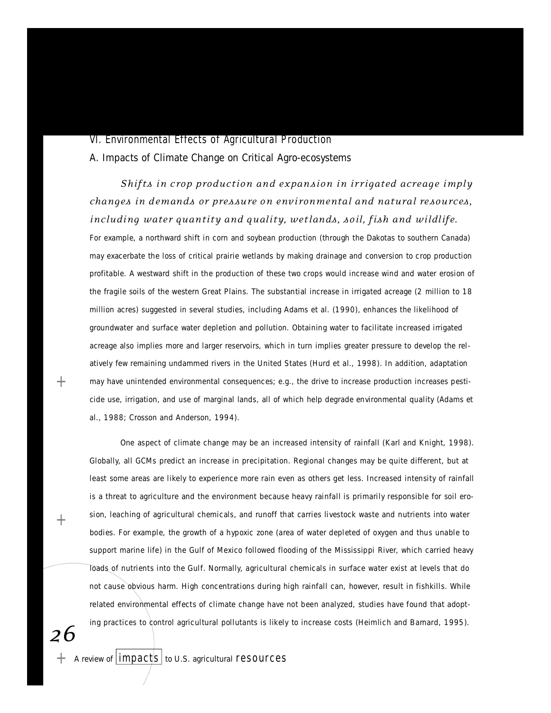#### VI. Environmental Effects of Agricultural Production

A. Impacts of Climate Change on Critical Agro-ecosystems

*Shifts in crop production and expansion in irrigated acreage imply changes in demands or pressure on environmental and natural resources, including water quantity and quality, wetlands, soil, fish and wildlife.* 

For example, a northward shift in corn and soybean production (through the Dakotas to southern Canada) may exacerbate the loss of critical prairie wetlands by making drainage and conversion to crop production p rofitable. A westward shift in the production of these two crops would increase wind and water erosion of the fragile soils of the western Great Plains. The substantial increase in irrigated acreage (2 million to 18 million acres) suggested in several studies, including Adams et al. (1990), enhances the likelihood of groundwater and surface water depletion and pollution. Obtaining water to facilitate increased irrigated acreage also implies more and larger reservoirs, which in turn implies greater pressure to develop the relatively few remaining undammed rivers in the United States (Hurd et al., 1998). In addition, adaptation may have unintended environmental consequences; e.g., the drive to increase production increases pesticide use, irrigation, and use of marginal lands, all of which help degrade environmental quality (Adams et al., 1988; Crosson and Anderson, 1994).

One aspect of climate change may be an increased intensity of rainfall (Karl and Knight, 1998). Globally, all GCMs predict an increase in precipitation. Regional changes may be quite different, but at least some areas are likely to experience more rain even as others get less. Increased intensity of rainfall is a threat to agriculture and the environment because heavy rainfall is primarily responsible for soil erosion, leaching of agricultural chemicals, and runoff that carries livestock waste and nutrients into water bodies. For example, the growth of a hypoxic zone (area of water depleted of oxygen and thus unable to support marine life) in the Gulf of Mexico followed flooding of the Mississippi River, which carried heavy loads of nutrients into the Gulf. Normally, agricultural chemicals in surface water exist at levels that do not cause obvious harm. High concentrations during high rainfall can, however, result in fishkills. While related environmental effects of climate change have not been analyzed, studies have found that adopting practices to control agricultural pollutants is likely to increase costs (Heimlich and Barnard, 1995).

*26*

 $+$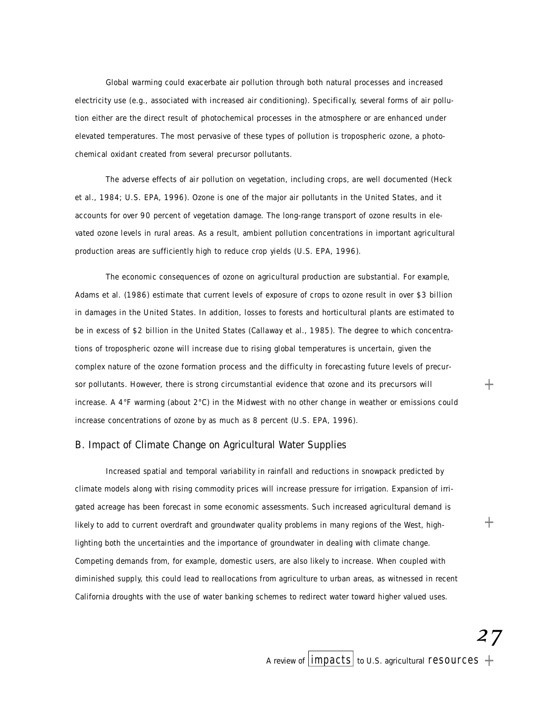Global warming could exacerbate air pollution through both natural processes and increased electricity use (e.g., associated with increased air conditioning). Specifically, several forms of air pollution either are the direct result of photochemical processes in the atmosphere or are enhanced under elevated temperatures. The most pervasive of these types of pollution is tropospheric ozone, a photochemical oxidant created from several precursor pollutants.

The adverse effects of air pollution on vegetation, including crops, are well documented (Heck et al., 1984; U.S. EPA, 1996). Ozone is one of the major air pollutants in the United States, and it accounts for over 90 percent of vegetation damage. The long-range transport of ozone results in elevated ozone levels in rural areas. As a result, ambient pollution concentrations in important agricultural production areas are sufficiently high to reduce crop yields (U.S. EPA, 1996).

The economic consequences of ozone on agricultural production are substantial. For example, Adams et al. (1986) estimate that current levels of exposure of crops to ozone result in over \$3 billion in damages in the United States. In addition, losses to forests and horticultural plants are estimated to be in excess of \$2 billion in the United States (Callaway et al., 1985). The degree to which concentrations of tropospheric ozone will increase due to rising global temperatures is uncertain, given the complex nature of the ozone formation process and the difficulty in forecasting future levels of precursor pollutants. However, there is strong circumstantial evidence that ozone and its precursors will increase. A  $4^{\circ}F$  warming (about  $2^{\circ}C$ ) in the Midwest with no other change in weather or emissions could increase concentrations of ozone by as much as 8 percent (U.S. EPA, 1996).

# B. Impact of Climate Change on Agricultural Water Supplies

Increased spatial and temporal variability in rainfall and reductions in snowpack predicted by climate models along with rising commodity prices will increase pressure for irrigation. Expansion of irrigated acreage has been forecast in some economic assessments. Such increased agricultural demand is likely to add to current overdraft and groundwater quality problems in many regions of the West, highlighting both the uncertainties and the importance of groundwater in dealing with climate change. Competing demands from, for example, domestic users, are also likely to increase. When coupled with diminished supply, this could lead to reallocations from agriculture to urban areas, as witnessed in recent California droughts with the use of water banking schemes to redirect water toward higher valued uses.

*27*

 $^{+}$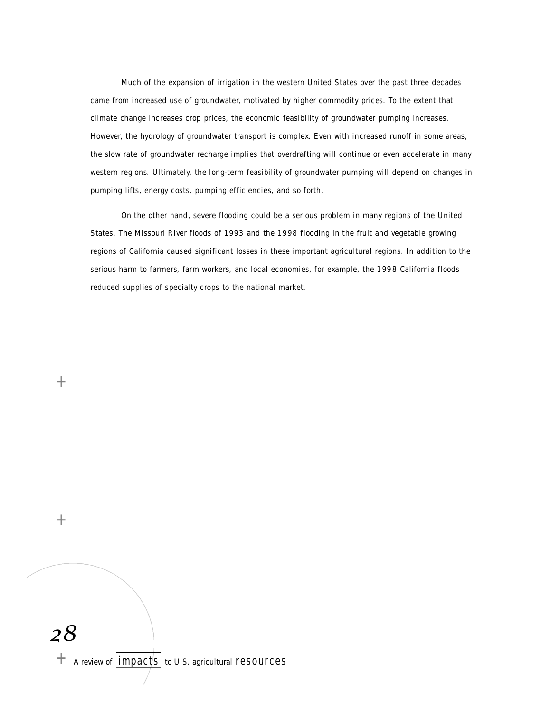Much of the expansion of irrigation in the western United States over the past three decades came from increased use of groundwater, motivated by higher commodity prices. To the extent that climate change increases crop prices, the economic feasibility of groundwater pumping increases. However, the hydrology of groundwater transport is complex. Even with increased runoff in some areas, the slow rate of groundwater recharge implies that overdrafting will continue or even accelerate in many western regions. Ultimately, the long-term feasibility of groundwater pumping will depend on changes in pumping lifts, energy costs, pumping efficiencies, and so forth.

On the other hand, severe flooding could be a serious problem in many regions of the United States. The Missouri River floods of 1993 and the 1998 flooding in the fruit and vegetable growing regions of California caused significant losses in these important agricultural regions. In addition to the serious harm to farmers, farm workers, and local economies, for example, the 1998 California floods reduced supplies of specialty crops to the national market.

 $+$ 

 $+$ 

*28*  $+$  A review of  $|$ impacts to U.S. agricultural resources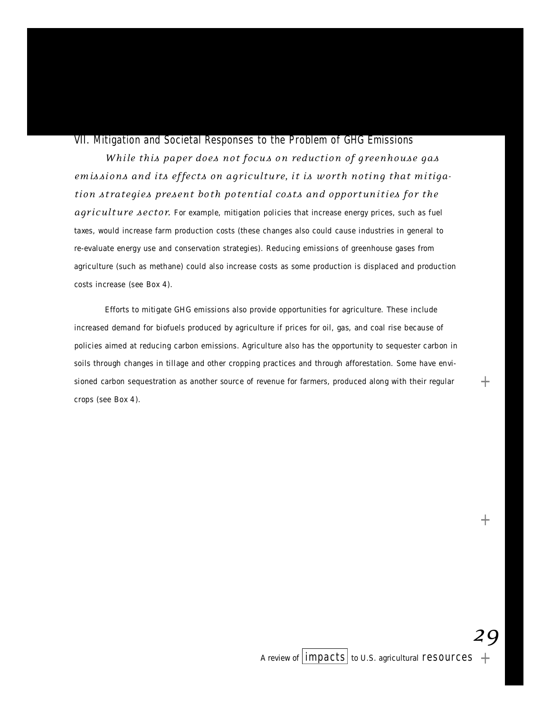# VII. Mitigation and Societal Responses to the Problem of GHG Emissions

*While this paper does not focus on reduction of greenhouse gas* emissions and its effects on agriculture, it is worth noting that mitigation strategies present both potential costs and opportunities for the agriculture sector. For example, mitigation policies that increase energy prices, such as fuel taxes, would increase farm production costs (these changes also could cause industries in general to re-evaluate energy use and conservation strategies). Reducing emissions of greenhouse gases from agriculture (such as methane) could also increase costs as some production is displaced and production costs increase (see Box 4).

Efforts to mitigate GHG emissions also provide opportunities for agriculture. These include increased demand for biofuels produced by agriculture if prices for oil, gas, and coal rise because of policies aimed at reducing carbon emissions. Agriculture also has the opportunity to sequester carbon in soils through changes in tillage and other cropping practices and through afforestation. Some have envisioned carbon sequestration as another source of revenue for farmers, produced along with their regular crops (see Box 4).

*29*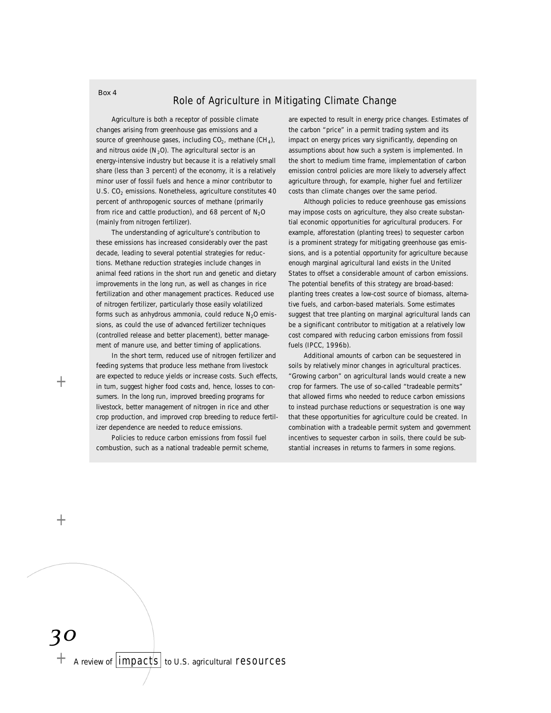## Role of Agriculture in Mitigating Climate Change

Agriculture is both a receptor of possible climate changes arising from greenhouse gas emissions and a source of greenhouse gases, including  $CO<sub>2</sub>$ , methane  $(CH<sub>4</sub>)$ , and nitrous oxide (N<sub>2</sub>O). The agricultural sector is an energy-intensive industry but because it is a relatively small share (less than 3 percent) of the economy, it is a relatively minor user of fossil fuels and hence a minor contributor to U.S. CO<sub>2</sub> emissions. Nonetheless, agriculture constitutes 40 percent of anthropogenic sources of methane (primarily from rice and cattle production), and 68 percent of  $N_2O$ (mainly from nitrogen fertilizer).

The understanding of agriculture's contribution to these emissions has increased considerably over the past decade, leading to several potential strategies for reductions. Methane reduction strategies include changes in animal feed rations in the short run and genetic and dietary improvements in the long run, as well as changes in rice fertilization and other management practices. Reduced use of nitrogen fertilizer, particularly those easily volatilized forms such as anhydrous ammonia, could reduce  $N_2O$  emissions, as could the use of advanced fertilizer techniques (controlled release and better placement), better management of manure use, and better timing of applications.

In the short term, reduced use of nitrogen fertilizer and feeding systems that produce less methane from livestock are expected to reduce yields or increase costs. Such effects, in turn, suggest higher food costs and, hence, losses to consumers. In the long run, improved breeding programs for livestock, better management of nitrogen in rice and other crop production, and improved crop breeding to reduce fertilizer dependence are needed to reduce emissions.

Policies to reduce carbon emissions from fossil fuel combustion, such as a national tradeable permit scheme,

are expected to result in energy price changes. Estimates of the carbon "price" in a permit trading system and its impact on energy prices vary significantly, depending on assumptions about how such a system is implemented. In the short to medium time frame, implementation of carbon emission control policies are more likely to adversely affect agriculture through, for example, higher fuel and fertilizer costs than climate changes over the same period.

Although policies to reduce greenhouse gas emissions may impose costs on agriculture, they also create substantial economic opportunities for agricultural producers. For example, afforestation (planting trees) to sequester carbon is a prominent strategy for mitigating greenhouse gas emissions, and is a potential opportunity for agriculture because enough marginal agricultural land exists in the United States to offset a considerable amount of carbon emissions. The potential benefits of this strategy are broad-based: planting trees creates a low-cost source of biomass, alternative fuels, and carbon-based materials. Some estimates suggest that tree planting on marginal agricultural lands can be a significant contributor to mitigation at a relatively low cost compared with reducing carbon emissions from fossil fuels (IPCC, 1996b).

Additional amounts of carbon can be sequestered in soils by relatively minor changes in agricultural practices. "Growing carbon" on agricultural lands would create a new crop for farmers. The use of so-called "tradeable permits" that allowed firms who needed to reduce carbon emissions to instead purchase reductions or sequestration is one way that these opportunities for agriculture could be created. In combination with a tradeable permit system and government incentives to sequester carbon in soils, there could be substantial increases in returns to farmers in some regions.

 $^{+}$ 

 $^{+}$ 

*30*  $+$  A review of  $|$  impacts  $|$  to U.S. agricultural resources

#### *Box 4*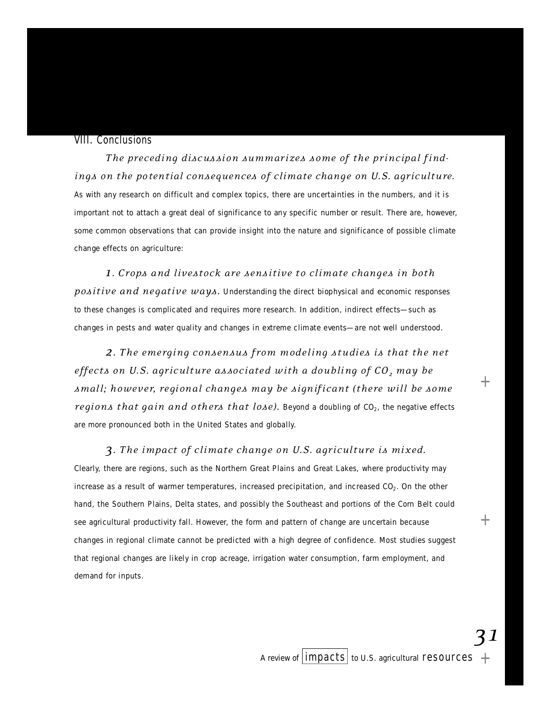#### VIII. Conclusions

The preceding discussion summarizes some of the principal find*ings on the potential consequences of climate change on U.S. agriculture.* As with any research on difficult and complex topics, there are uncertainties in the numbers, and it is important not to attach a great deal of significance to any specific number or result. There are, however, some common observations that can provide insight into the nature and significance of possible climate change effects on agriculture:

**1***.* Crops and livestock are sensitive to climate changes in both *positive and negative ways.* Understanding the direct biophysical and economic responses to these changes is complicated and requires more research. In addition, indirect effects—such as changes in pests and water quality and changes in extreme climate events—are not well understood.

*2. T he emerging consensus from modeling st u di es is that the net effe c ts on U. S . a gr i c ul t ure as so c i ated with a doubling of CO<sup>2</sup> m ay be sm all; however, re gi on al chan g es may be si gn if i c ant (there will be some regions that gain and others that lose)*. Beyond a doubling of  $CO<sub>2</sub>$ , the negative effects are more pronounced both in the United States and globally.

# **3***.* The impact of climate change on U.S. agriculture is mixed.

Clearly, there are regions, such as the Northern Great Plains and Great Lakes, where productivity may increase as a result of warmer temperatures, increased precipitation, and increased CO<sub>2</sub>. On the other hand, the Southern Plains, Delta states, and possibly the Southeast and portions of the Corn Belt could see agricultural productivity fall. However, the form and pattern of change are uncertain because changes in regional climate cannot be predicted with a high degree of confidence. Most studies suggest that regional changes are likely in crop acreage, irrigation water consumption, farm employment, and demand for inputs.

*31*

+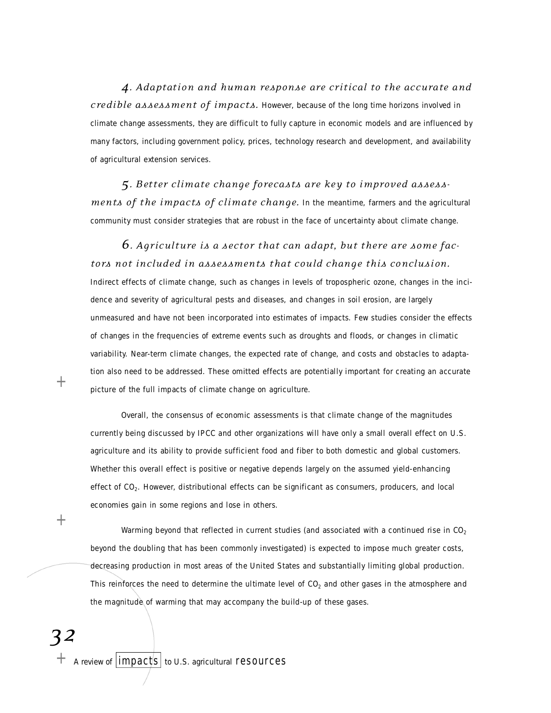**4***.* Adaptation and human response are critical to the accurate and *credible as sessment of impacts*. However, because of the long time horizons involved in climate change assessments, they are difficult to fully capture in economic models and are influenced by many factors, including government policy, prices, technology research and development, and availability of agricultural extension services.

5. Better climate change forecasts are key to improved assess*ments of the impacts of climate change.* In the meantime, farmers and the agricultural community must consider strategies that are robust in the face of uncertainty about climate change.

# **6**. Agriculture is a sector that can adapt, but there are some fac*tors not included in assessments that could change this conclusion.*

Indirect effects of climate change, such as changes in levels of tropospheric ozone, changes in the incidence and severity of agricultural pests and diseases, and changes in soil erosion, are largely un measured and have not been incorporated into estimates of impacts. Few studies consider the effects of changes in the frequencies of extreme events such as droughts and floods, or changes in climatic variability. Near-term climate changes, the expected rate of change, and costs and obstacles to adaptation also need to be addressed. These omitted effects are potentially important for creating an accurate picture of the full impacts of climate change on agriculture.

Overall, the consensus of economic assessments is that climate change of the magnitudes currently being discussed by IPCC and other organizations will have only a small overall effect on U.S. agriculture and its ability to provide sufficient food and fiber to both domestic and global customers. Whether this overall effect is positive or negative depends largely on the assumed yield-enhancing effect of CO<sub>2</sub>. However, distributional effects can be significant as consumers, producers, and local economies gain in some regions and lose in others.

Warming beyond that reflected in current studies (and associated with a continued rise in  $CO<sub>2</sub>$ beyond the doubling that has been commonly investigated) is expected to impose much greater costs, decreasing production in most areas of the United States and substantially limiting global production. This reinforces the need to determine the ultimate level of  $CO<sub>2</sub>$  and other gases in the atmosphere and the magnitude of warming that may accompany the build-up of these gases.

*32*

 $+$ 

 $+$  A review of  $\lfloor$  impacts  $\rfloor$  to U.S. agricultural resources

 $^+$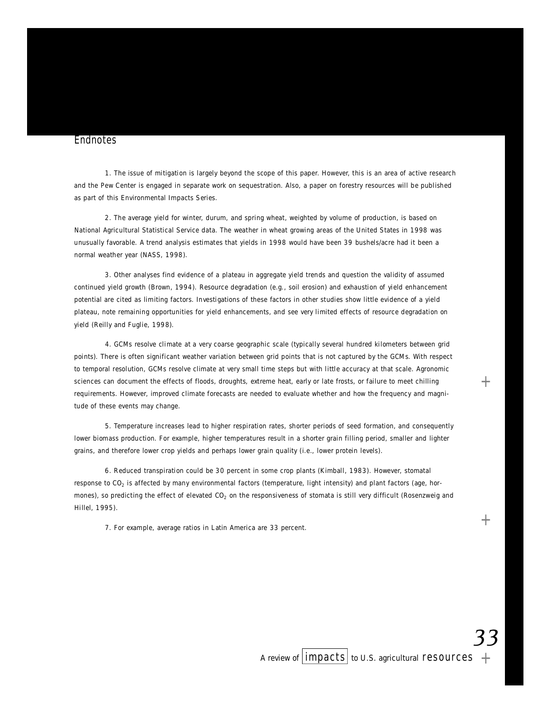#### **Endnotes**

1. The issue of mitigation is largely beyond the scope of this paper. However, this is an area of active research and the Pew Center is engaged in separate work on sequestration. Also, a paper on forestry resources will be published as part of this Environmental Impacts Series.

2. The average yield for winter, durum, and spring wheat, weighted by volume of production, is based on National Agricultural Statistical Service data. The weather in wheat growing areas of the United States in 1998 was unusually favorable. A trend analysis estimates that yields in 1998 would have been 39 bushels/acre had it been a normal weather year (NASS, 1998).

3. Other analyses find evidence of a plateau in aggregate yield trends and question the validity of assumed continued yield growth (Brown, 1994). Resource degradation (e.g., soil erosion) and exhaustion of yield enhancement potential are cited as limiting factors. Investigations of these factors in other studies show little evidence of a yield plateau, note remaining opportunities for yield enhancements, and see very limited effects of resource degradation on yield (Reilly and Fuglie, 1998).

4. GCMs resolve climate at a very coarse geographic scale (typically several hundred kilometers between grid points). There is often significant weather variation between grid points that is not captured by the GCMs. With respect to temporal resolution, GCMs resolve climate at very small time steps but with little accuracy at that scale. Agronomic sciences can document the effects of floods, droughts, extreme heat, early or late frosts, or failure to meet chilling requirements. However, improved climate forecasts are needed to evaluate whether and how the frequency and magnitude of these events may change.

5. Temperature increases lead to higher respiration rates, shorter periods of seed formation, and consequently lower biomass production. For example, higher temperatures result in a shorter grain filling period, smaller and lighter grains, and therefore lower crop yields and perhaps lower grain quality (i.e., lower protein levels).

6. Reduced transpiration could be 30 percent in some crop plants (Kimball, 1983). However, stomatal response to CO $_2$  is affected by many environmental factors (temperature, light intensity) and plant factors (age, hormones), so predicting the effect of elevated  $CO<sub>2</sub>$  on the responsiveness of stomata is still very difficult (Rosenzweig and Hillel, 1995).

7. For example, average ratios in Latin America are 33 percent.

 $^{+}$ 

+

*33*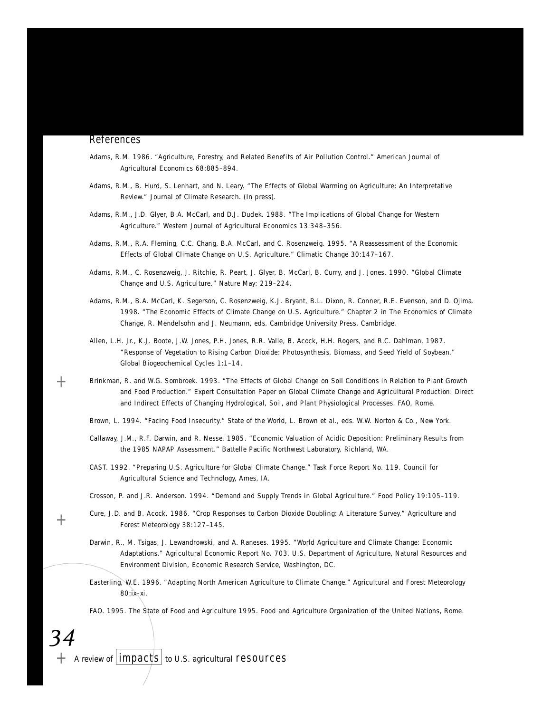#### **References**

- Adams, R.M. 1986. "Agriculture, Forestry, and Related Benefits of Air Pollution Control." *American Journal of* Agricultural Economics 68:885-894.
- Adams, R.M., B. Hurd, S. Lenhart, and N. Leary. "The Effects of Global Warming on Agriculture: An Interpretative Review." Journal of Climate Research. (In press).
- Adams, R.M., J.D. Glyer, B.A. McCarl, and D.J. Dudek. 1988. "The Implications of Global Change for Western Agriculture." Western Journal of Agricultural Economics 13:348-356.
- Adams, R.M., R.A. Fleming, C.C. Chang, B.A. McCarl, and C. Rosenzweig. 1995. "A Reassessment of the Economic Effects of Global Climate Change on U.S. Agriculture." *Climatic Change* 30:147-167.
- Adams, R.M., C. Rosenzweig, J. Ritchie, R. Peart, J. Glyer, B. McCarl, B. Curry, and J. Jones. 1990. "Global Climate Change and U.S. Agriculture." Nature May: 219-224.
- Adams, R.M., B.A. McCarl, K. Segerson, C. Rosenzweig, K.J. Bryant, B.L. Dixon, R. Conner, R.E. Evenson, and D. Ojima. 1998. "The Economic Effects of Climate Change on U.S. Agriculture." Chapter 2 in *The Economics of Climate Change, R. Mendelsohn and J. Neumann, eds. Cambridge University Press, Cambridge.*
- Allen, L.H. Jr., K.J. Boote, J.W. Jones, P.H. Jones, R.R. Valle, B. Acock, H.H. Rogers, and R.C. Dahlman. 1987. "Response of Vegetation to Rising Carbon Dioxide: Photosynthesis, Biomass, and Seed Yield of Soybean." *Global Biogeochemical Cycles* 1:1–14.
- Brinkman, R. and W.G. Sombroek. 1993. "The Effects of Global Change on Soil Conditions in Relation to Plant Growth and Food Production." Expert Consultation Paper on Global Climate Change and Agricultural Production: Direct and Indirect Effects of Changing Hydrological, Soil, and Plant Physiological Processes. FAO, Rome.
- Brown, L. 1994. "Facing Food Insecurity." State of the World, L. Brown et al., eds. W.W. Norton & Co., New York.
- Callaway, J.M., R.F. Darwin, and R. Nesse. 1985. "Economic Valuation of Acidic Deposition: Preliminary Results from the 1985 NAPAP Assessment." Battelle Pacific Northwest Laboratory, Richland, WA .
- CAST. 1992. "Preparing U.S. Agriculture for Global Climate Change." Task Force Report No. 119. Council for Agricultural Science and Technology, Ames, IA.

Crosson, P. and J.R. Anderson. 1994. "Demand and Supply Trends in Global Agriculture." *Food Policy* 19:105-119.

- Cure, J.D. and B. Acock. 1986. "Crop Responses to Carbon Dioxide Doubling: A Literature Survey." Agriculture and *Forest Meteorology* 38:127-145.
- Darwin, R., M. Tsigas, J. Lewandrowski, and A. Raneses. 1995. "World Agriculture and Climate Change: Economic Adaptations." *Agricultural Economic Report No. 703.* U.S. Department of Agriculture, Natural Resources and Environment Division, Economic Research Service, Washington, DC.
- Easterling, W.E. 1996. "Adapting North American Agriculture to Climate Change." Agricultural and Forest Meteorology  $80 : i x + xi$ .

FAO. 1995. *The State of Food and Agriculture 1995*. Food and Agriculture Organization of the United Nations, Rome.

 $+$  A review of  $|$  impacts to U.S. agricultural resources

*34*

 $^{+}$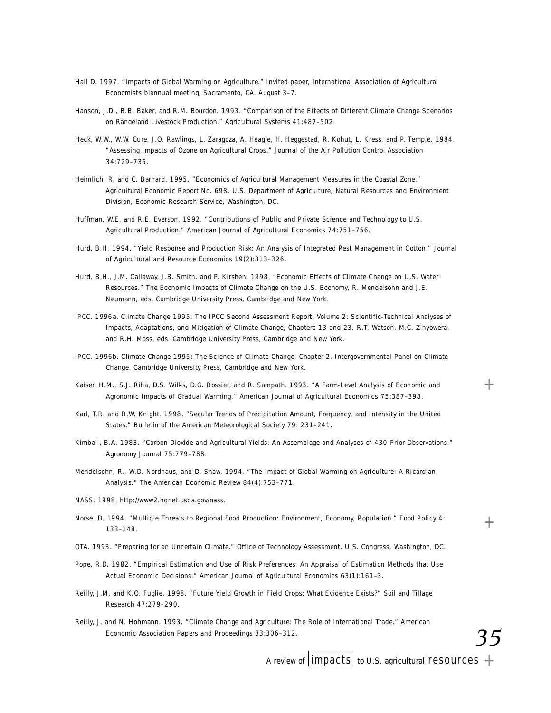- Hall D. 1997. "Impacts of Global Warming on Agriculture." Invited paper, International Association of Agricultural Economists biannual meeting, Sacramento, CA. August 3–7.
- Hanson, J.D., B.B. Baker, and R.M. Bourdon. 1993. "Comparison of the Effects of Different Climate Change Scenarios on Rangeland Livestock Production." Agricultural Systems 41:487-502.
- Heck, W.W., W.W. Cure, J.O. Rawlings, L. Zaragoza, A. Heagle, H. Heggestad, R. Kohut, L. Kress, and P. Temple. 1984. "Assessing Impacts of Ozone on Agricultural Crops." Journal of the Air Pollution Control Association 34:729-735.
- Heimlich, R. and C. Barnard. 1995. "Economics of Agricultural Management Measures in the Coastal Zone." Agricultural Economic Report No. 698. U.S. Department of Agriculture, Natural Resources and Environment Division, Economic Research Service, Washington, DC.
- Huffman, W.E. and R.E. Everson. 1992. "Contributions of Public and Private Science and Technology to U.S. Agricultural Production." American Journal of Agricultural Economics 74:751-756.
- Hurd, B.H. 1994. "Yield Response and Production Risk: An Analysis of Integrated Pest Management in Cotton." Journal of Agricultural and Resource Economics 19(2):313-326.
- Hurd, B.H., J.M. Callaway, J.B. Smith, and P. Kirshen. 1998. "Economic Effects of Climate Change on U.S. Water Resources." The Economic Impacts of Climate Change on the U.S. Economy, R. Mendelsohn and J.E. Neumann, eds. Cambridge University Press, Cambridge and New York.
- IPCC. 1996a. *Climate Change 1995: The IPCC Second Assessment Report, Volume 2: Scientific-Technical Analyses of Impacts, Adaptations, and Mitigation of Climate Change,* Chapters 13 and 23. R.T. Watson, M.C. Zinyowera, and R.H. Moss, eds. Cambridge University Press, Cambridge and New York.
- IPCC. 1996b. *Climate Change 1995: The Science of Climate Change*, Chapter 2. Intergovernmental Panel on Climate Change. Cambridge University Press, Cambridge and New York.
- Kaiser, H.M., S.J. Riha, D.S. Wilks, D.G. Rossier, and R. Sampath. 1993. "A Farm-Level Analysis of Economic and Agronomic Impacts of Gradual Warming." American Journal of Agricultural Economics 75:387-398.
- Karl, T.R. and R.W. Knight. 1998. "Secular Trends of Precipitation Amount, Frequency, and Intensity in the United States." *Bulletin of the American Meteorological Society* 79: 231–241.
- Kimball, B.A. 1983. "Carbon Dioxide and Agricultural Yields: An Assemblage and Analyses of 430 Prior Observations." *Agronomy Journal 75:779-788.*
- Mendelsohn, R., W.D. Nordhaus, and D. Shaw. 1994. "The Impact of Global Warming on Agriculture: A Ricardian Analysis." The American Economic Review 84(4):753-771.
- NASS. 1998. http://www2.hqnet.usda.gov/nass.
- Norse, D. 1994. "Multiple Threats to Regional Food Production: Environment, Economy, Population." *Food Policy* 4 :  $133 - 148$
- O TA. 1993. "Preparing for an Uncertain Climate." Office of Technology Assessment, U.S. Congress, Washington, DC.
- Pope, R.D. 1982. "Empirical Estimation and Use of Risk Preferences: An Appraisal of Estimation Methods that Use Actual Economic Decisions." American Journal of Agricultural Economics 63(1):161-3.
- Reilly, J.M. and K.O. Fuglie. 1998. "Future Yield Growth in Field Crops: What Evidence Exists?" Soil and Tillage *R e s e a rc h* 4 7 : 2 7 9 – 2 9 0 .
- Reilly, J. and N. Hohmann. 1993. "Climate Change and Agriculture: The Role of International Trade." American *Economic Association Papers and Proceedings 83:306-312.*

*35*

 $+$ 

 $^{+}$